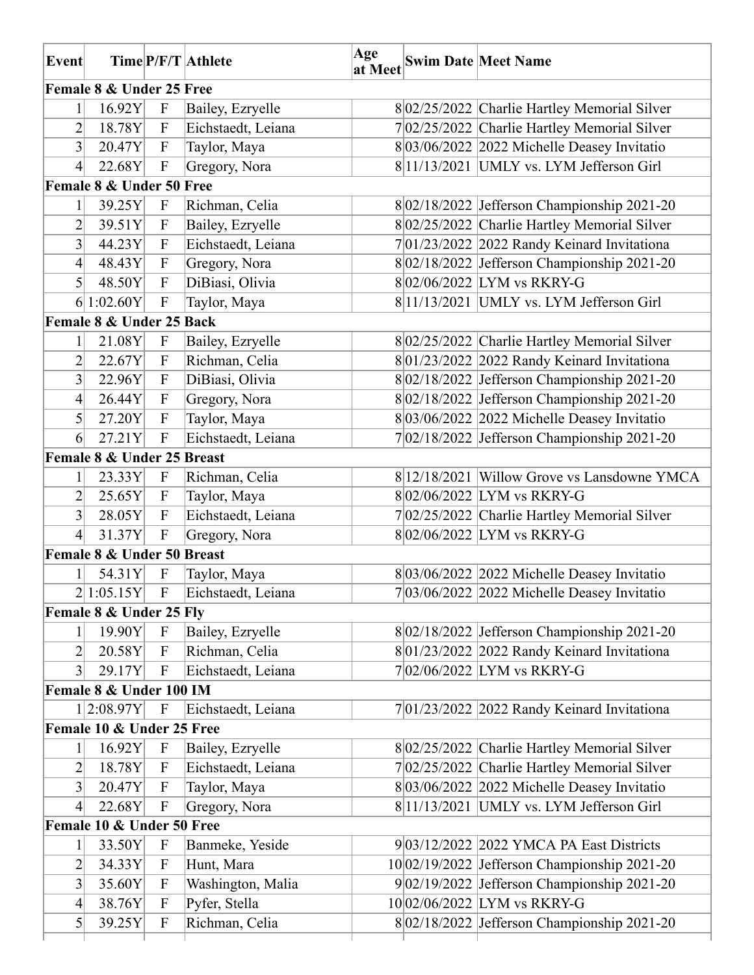| Event            |                            |                           | Time P/F/T Athlete   | Age | at Meet Swim Date Meet Name                    |
|------------------|----------------------------|---------------------------|----------------------|-----|------------------------------------------------|
|                  | Female 8 & Under 25 Free   |                           |                      |     |                                                |
|                  | 16.92Y                     | $\mathbf F$               | Bailey, Ezryelle     |     | 8 02/25/2022 Charlie Hartley Memorial Silver   |
| 2                | 18.78Y                     | $\mathbf{F}$              | Eichstaedt, Leiana   |     | 702/25/2022 Charlie Hartley Memorial Silver    |
| 3                | 20.47Y                     | $\mathbf{F}$              | Taylor, Maya         |     | $8 03/06/2022 2022$ Michelle Deasey Invitatio  |
| $\overline{4}$   | 22.68Y                     | $\mathbf F$               | Gregory, Nora        |     | 8 11/13/2021 UMLY vs. LYM Jefferson Girl       |
|                  | Female 8 & Under 50 Free   |                           |                      |     |                                                |
| $\mathbf{1}$     | 39.25Y                     | $\mathbf F$               | Richman, Celia       |     | 8 02/18/2022 Jefferson Championship 2021-20    |
| 2                | 39.51Y                     | $\mathbf F$               | Bailey, Ezryelle     |     | 802/25/2022 Charlie Hartley Memorial Silver    |
| $\overline{3}$   | 44.23Y                     | $\boldsymbol{\mathrm{F}}$ | Eichstaedt, Leiana   |     | $7 01/23/2022 2022$ Randy Keinard Invitationa  |
| $\overline{4}$   | 48.43Y                     | $\mathbf{F}$              | Gregory, Nora        |     | 8 02/18/2022 Jefferson Championship 2021-20    |
| $\vert 5 \vert$  | 48.50Y                     | $\mathbf{F}$              | DiBiasi, Olivia      |     | 802/06/2022 LYM vs RKRY-G                      |
|                  | 6 1:02.60Y                 | $\boldsymbol{\mathrm{F}}$ | Taylor, Maya         |     | $8 11/13/2021$ UMLY vs. LYM Jefferson Girl     |
|                  | Female 8 & Under 25 Back   |                           |                      |     |                                                |
|                  | 21.08Y                     | $\mathbf F$               | Bailey, Ezryelle     |     | 8 02/25/2022 Charlie Hartley Memorial Silver   |
| $\overline{2}$   | 22.67Y                     | ${\bf F}$                 | Richman, Celia       |     | $8 01/23/2022 2022$ Randy Keinard Invitationa  |
| 3                | 22.96Y                     | $\boldsymbol{\mathrm{F}}$ | DiBiasi, Olivia      |     | $8 02/18/2022 $ Jefferson Championship 2021-20 |
| $\left 4\right $ | 26.44Y                     | $\mathbf{F}$              | Gregory, Nora        |     | 8 02/18/2022 Jefferson Championship 2021-20    |
| $\vert 5 \vert$  | 27.20Y                     | $\mathbf{F}$              | Taylor, Maya         |     | 8 03/06/2022 2022 Michelle Deasey Invitatio    |
| 6                | 27.21Y                     | $\mathbf F$               | Eichstaedt, Leiana   |     | 7 02/18/2022 Jefferson Championship 2021-20    |
|                  | Female 8 & Under 25 Breast |                           |                      |     |                                                |
| 1                | 23.33Y                     | $\mathbf{F}$              | Richman, Celia       |     | 8 12/18/2021 Willow Grove vs Lansdowne YMCA    |
| $\overline{2}$   | 25.65Y                     | $\mathbf{F}$              | Taylor, Maya         |     | 802/06/2022 LYM vs RKRY-G                      |
| $\overline{3}$   | 28.05Y                     | $\mathbf{F}$              | Eichstaedt, Leiana   |     | 702/25/2022 Charlie Hartley Memorial Silver    |
| $\overline{4}$   | 31.37Y                     | $\boldsymbol{\mathrm{F}}$ | Gregory, Nora        |     | 802/06/2022 LYM vs RKRY-G                      |
|                  | Female 8 & Under 50 Breast |                           |                      |     |                                                |
| $1\vert$         | 54.31Y                     | $\mathbf F$               | Taylor, Maya         |     | 8 03/06/2022 2022 Michelle Deasey Invitatio    |
|                  | 2 1:05.15Y                 |                           | F Eichstaedt, Leiana |     | $7 03/06/2022 2022$ Michelle Deasey Invitatio  |
|                  | Female 8 & Under 25 Fly    |                           |                      |     |                                                |
|                  | 19.90Y                     | $\mathbf{F}$              | Bailey, Ezryelle     |     | 8 02/18/2022 Jefferson Championship 2021-20    |
| $\overline{2}$   | 20.58Y                     | $\mathbf{F}$              | Richman, Celia       |     | $8 01/23/2022 2022$ Randy Keinard Invitationa  |
| $\vert 3 \vert$  | 29.17Y                     | $\mathbf{F}$              | Eichstaedt, Leiana   |     | $7 02/06/2022 $ LYM vs RKRY-G                  |
|                  | Female 8 & Under 100 IM    |                           |                      |     |                                                |
|                  | $1 2:08.97Y $ F            |                           | Eichstaedt, Leiana   |     | $7 01/23/2022 2022$ Randy Keinard Invitationa  |
|                  | Female 10 & Under 25 Free  |                           |                      |     |                                                |
|                  | 16.92Y                     | $\mathbf F$               | Bailey, Ezryelle     |     | 8 02/25/2022 Charlie Hartley Memorial Silver   |
| 2                | 18.78Y                     | $\mathbf F$               | Eichstaedt, Leiana   |     | 702/25/2022 Charlie Hartley Memorial Silver    |
| $\overline{3}$   | 20.47Y                     | $\mathbf{F}$              | Taylor, Maya         |     | $8 03/06/2022 2022$ Michelle Deasey Invitatio  |
| 4                | 22.68Y                     | $\mathbf F$               | Gregory, Nora        |     | 8 11/13/2021 UMLY vs. LYM Jefferson Girl       |
|                  | Female 10 & Under 50 Free  |                           |                      |     |                                                |
|                  | 33.50Y                     | $\mathbf F$               | Banmeke, Yeside      |     | 9 03/12/2022 2022 YMCA PA East Districts       |
| $\overline{2}$   | 34.33Y                     | $\mathbf{F}$              | Hunt, Mara           |     | 10 02/19/2022 Jefferson Championship 2021-20   |
| $\overline{3}$   | 35.60Y                     | $\mathbf{F}$              | Washington, Malia    |     | $9 02/19/2022 $ Jefferson Championship 2021-20 |
| $\left 4\right $ | 38.76Y                     | $\mathbf{F}$              | Pyfer, Stella        |     | 10 02/06/2022 LYM vs RKRY-G                    |
| $\mathfrak{S}$   | 39.25Y                     | $\boldsymbol{\mathrm{F}}$ | Richman, Celia       |     | 8 02/18/2022 Jefferson Championship 2021-20    |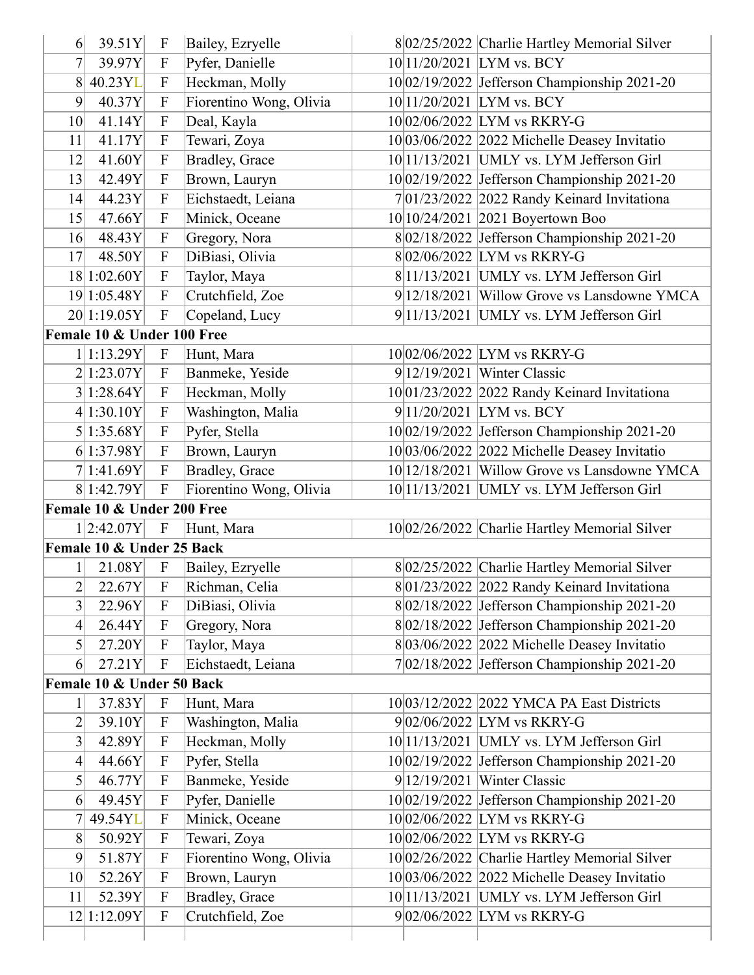| 6                | 39.51Y                     | $\mathbf F$                  | Bailey, Ezryelle                   | 8 02/25/2022 Charlie Hartley Memorial Silver                           |
|------------------|----------------------------|------------------------------|------------------------------------|------------------------------------------------------------------------|
| 7                | 39.97Y                     | $\mathbf F$                  | Pyfer, Danielle                    | 10 11/20/2021 LYM vs. BCY                                              |
| 8                | 40.23YL                    | $\mathbf{F}$                 | Heckman, Molly                     | 10 02/19/2022 Jefferson Championship 2021-20                           |
| $\vert 9 \vert$  | 40.37Y                     | $\mathbf{F}$                 | Fiorentino Wong, Olivia            | 10 11/20/2021 LYM vs. BCY                                              |
| 10 <sup>l</sup>  | 41.14Y                     | $\mathbf{F}$                 | Deal, Kayla                        | 10 02/06/2022 LYM vs RKRY-G                                            |
| 11               | 41.17Y                     | $\mathbf{F}$                 | Tewari, Zoya                       | $10 03/06/2022 2022$ Michelle Deasey Invitatio                         |
| 12               | 41.60Y                     | $\overline{F}$               | Bradley, Grace                     | $10 11/13/2021$ UMLY vs. LYM Jefferson Girl                            |
| 13               | 42.49Y                     | $\boldsymbol{\mathrm{F}}$    | Brown, Lauryn                      | 10 02/19/2022 Jefferson Championship 2021-20                           |
| 14               | 44.23Y                     | $\overline{F}$               | Eichstaedt, Leiana                 | 701/23/2022 2022 Randy Keinard Invitationa                             |
| 15               | 47.66Y                     | $\overline{F}$               | Minick, Oceane                     | 10 10/24/2021 2021 Boyertown Boo                                       |
| 16               | 48.43Y                     | $\boldsymbol{\mathrm{F}}$    | Gregory, Nora                      | 8 02/18/2022 Jefferson Championship 2021-20                            |
| 17               | 48.50Y                     | $\overline{F}$               | DiBiasi, Olivia                    | $8 02/06/2022 $ LYM vs RKRY-G                                          |
|                  | 18 1:02.60Y                | $\overline{F}$               | Taylor, Maya                       | $8 11/13/2021$ UMLY vs. LYM Jefferson Girl                             |
|                  | 19 1:05.48Y                | $\overline{F}$               | Crutchfield, Zoe                   | 9 12/18/2021 Willow Grove vs Lansdowne YMCA                            |
|                  | 20 1:19.05Y                | $\boldsymbol{\mathrm{F}}$    | Copeland, Lucy                     | $9 11/13/2021$ UMLY vs. LYM Jefferson Girl                             |
|                  | Female 10 & Under 100 Free |                              |                                    |                                                                        |
|                  | 1 1:13.29Y                 | $\mathbf F$                  | Hunt, Mara                         | 1002/06/2022 LYM vs RKRY-G                                             |
|                  | 2 1:23.07Y                 | $\mathbf{F}$                 | Banmeke, Yeside                    | $9 12/19/2021$ Winter Classic                                          |
|                  | 3 1:28.64Y                 | $\boldsymbol{\mathrm{F}}$    | Heckman, Molly                     | $10 01/23/2022 2022$ Randy Keinard Invitationa                         |
|                  | 4 1:30.10Y                 | F                            | Washington, Malia                  | $9 11/20/2021$ LYM vs. BCY                                             |
|                  | 5 1:35.68Y                 | $\overline{F}$               | Pyfer, Stella                      | 10 02/19/2022 Jefferson Championship 2021-20                           |
|                  | 6 1:37.98Y                 | $\mathbf{F}$                 | Brown, Lauryn                      | $10 03/06/2022 2022$ Michelle Deasey Invitatio                         |
|                  | 7 1:41.69Y                 | $\mathbf{F}$                 | Bradley, Grace                     | 10 12/18/2021 Willow Grove vs Lansdowne YMCA                           |
|                  | 8 1:42.79Y                 | $\overline{F}$               | Fiorentino Wong, Olivia            | 10 11/13/2021 UMLY vs. LYM Jefferson Girl                              |
|                  | Female 10 & Under 200 Free |                              |                                    |                                                                        |
|                  | 1 2:42.07Y                 | $\mathbf{F}$                 | Hunt, Mara                         | 10 02/26/2022 Charlie Hartley Memorial Silver                          |
|                  | Female 10 & Under 25 Back  |                              |                                    |                                                                        |
| $\mathbf{1}$     | 21.08Y                     | $\mathbf{F}$                 | Bailey, Ezryelle                   | 802/25/2022 Charlie Hartley Memorial Silver                            |
| $\overline{2}$   | 22.67Y                     | $\mathbf{F}$                 | Richman, Celia                     | 8 01/23/2022 2022 Randy Keinard Invitationa                            |
| 3                | 22.96Y                     | $\mathbf F$                  | DiBiasi, Olivia                    | 8 02/18/2022 Jefferson Championship 2021-20                            |
| $\left 4\right $ | 26.44Y                     | $\mathbf F$                  | Gregory, Nora                      | 8 02/18/2022 Jefferson Championship 2021-20                            |
| $\mathfrak{S}$   | 27.20Y                     | $\mathbf{F}$                 | Taylor, Maya                       | $8 03/06/2022 2022$ Michelle Deasey Invitatio                          |
| 6                | 27.21Y                     | $\boldsymbol{\mathrm{F}}$    | Eichstaedt, Leiana                 | $7 02/18/2022$ Jefferson Championship 2021-20                          |
|                  | Female 10 & Under 50 Back  |                              |                                    |                                                                        |
|                  | 37.83Y                     | $\mathbf F$                  | Hunt, Mara                         | 10 03/12/2022   2022 YMCA PA East Districts                            |
| $\overline{2}$   | 39.10Y                     | $\overline{F}$               | Washington, Malia                  | $9 02/06/2022 $ LYM vs RKRY-G                                          |
| 3                | 42.89Y                     | $\mathbf{F}$                 | Heckman, Molly                     | 10 11/13/2021 UMLY vs. LYM Jefferson Girl                              |
| 4                | 44.66Y                     | $\boldsymbol{\mathrm{F}}$    | Pyfer, Stella                      | 10 02/19/2022 Jefferson Championship 2021-20                           |
| $\vert 5 \vert$  | 46.77Y                     | $\mathbf{F}$                 | Banmeke, Yeside                    | $9 12/19/2021$ Winter Classic                                          |
| 6                | 49.45Y                     | $\mathbf{F}$                 | Pyfer, Danielle                    | 10 02/19/2022 Jefferson Championship 2021-20                           |
| 7                | 49.54YL                    | $\overline{F}$               | Minick, Oceane                     | 10 02/06/2022 LYM vs RKRY-G                                            |
|                  | 50.92Y                     | $\mathbf{F}$                 | Tewari, Zoya                       | 10 02/06/2022 LYM vs RKRY-G                                            |
|                  |                            | F                            | Fiorentino Wong, Olivia            | 10 02/26/2022 Charlie Hartley Memorial Silver                          |
| 8                |                            |                              |                                    |                                                                        |
| 9                | 51.87Y                     |                              |                                    |                                                                        |
| 10 <sup>l</sup>  | 52.26Y                     | $\boldsymbol{\mathrm{F}}$    | Brown, Lauryn                      | $10 03/06/2022 2022$ Michelle Deasey Invitatio                         |
| 11               | 52.39Y<br>12 1:12.09Y      | $\mathbf{F}$<br>$\mathbf{F}$ | Bradley, Grace<br>Crutchfield, Zoe | 10 11/13/2021 UMLY vs. LYM Jefferson Girl<br>902/06/2022 LYM vs RKRY-G |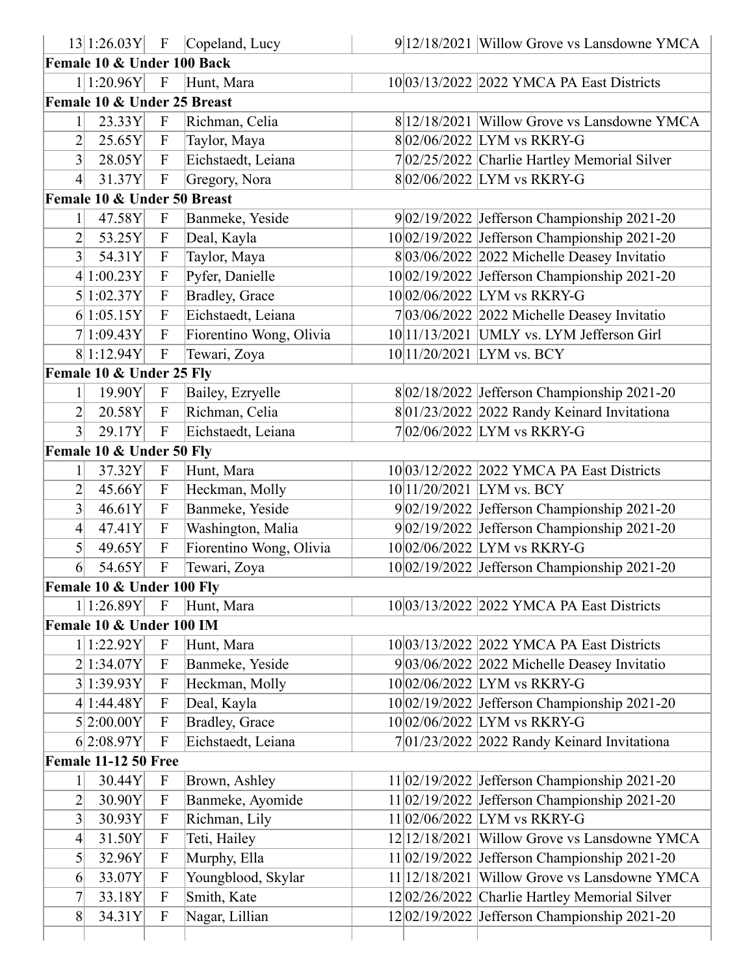|                  |                             |                           | $ 13 1:26.03Y$ F Copeland, Lucy | $9 12/18/2021$ Willow Grove vs Lansdowne YMCA   |
|------------------|-----------------------------|---------------------------|---------------------------------|-------------------------------------------------|
|                  | Female 10 & Under 100 Back  |                           |                                 |                                                 |
|                  | 1 1:20.96Y                  | $\mathbf{F}$              | Hunt, Mara                      | 10 03/13/2022 2022 YMCA PA East Districts       |
|                  | Female 10 & Under 25 Breast |                           |                                 |                                                 |
|                  | 23.33Y                      | $\mathbf F$               | Richman, Celia                  | $8 12/18/2021 $ Willow Grove vs Lansdowne YMCA  |
| $\overline{2}$   | 25.65Y                      | $\mathbf F$               | Taylor, Maya                    | 802/06/2022 LYM vs RKRY-G                       |
| $\overline{3}$   | 28.05Y                      | $\mathbf{F}$              | Eichstaedt, Leiana              | 702/25/2022 Charlie Hartley Memorial Silver     |
| $\vert 4 \vert$  | 31.37Y                      | $\mathbf F$               | Gregory, Nora                   | $8 02/06/2022 $ LYM vs RKRY-G                   |
|                  | Female 10 & Under 50 Breast |                           |                                 |                                                 |
| $\mathbf{1}$     | 47.58Y                      | $\mathbf{F}$              | Banmeke, Yeside                 | $9 02/19/2022$ Jefferson Championship 2021-20   |
| $\overline{2}$   | 53.25Y                      | $\mathbf{F}$              | Deal, Kayla                     | 10 02/19/2022 Jefferson Championship 2021-20    |
| $\overline{3}$   | 54.31Y                      | $\mathbf{F}$              | Taylor, Maya                    | 8 03/06/2022 2022 Michelle Deasey Invitatio     |
|                  | 4 1:00.23Y                  | F                         | Pyfer, Danielle                 | 1002/19/2022 Jefferson Championship 2021-20     |
|                  | 5 1:02.37Y                  | $\overline{F}$            | Bradley, Grace                  | 1002/06/2022 LYM vs RKRY-G                      |
|                  | 6 1:05.15Y                  | $\mathbf{F}$              | Eichstaedt, Leiana              | $7 03/06/2022 2022$ Michelle Deasey Invitatio   |
|                  | 7 1:09.43Y                  | $\overline{F}$            | Fiorentino Wong, Olivia         | $10 11/13/2021$ UMLY vs. LYM Jefferson Girl     |
|                  | 8 1:12.94Y                  | $\mathbf{F}$              | Tewari, Zoya                    | 10 11/20/2021 LYM vs. BCY                       |
|                  | Female 10 & Under 25 Fly    |                           |                                 |                                                 |
| $\mathbf{1}$     | 19.90Y                      | $\mathbf{F}$              | Bailey, Ezryelle                | 8 02/18/2022 Jefferson Championship 2021-20     |
| 2                | 20.58Y                      | $\mathbf F$               | Richman, Celia                  | $8 01/23/2022 2022$ Randy Keinard Invitationa   |
| 3                | 29.17Y                      | $\mathbf{F}$              | Eichstaedt, Leiana              | $7 02/06/2022 $ LYM vs RKRY-G                   |
|                  | Female 10 & Under 50 Fly    |                           |                                 |                                                 |
|                  | 37.32Y                      | $\mathbf F$               | Hunt, Mara                      | 10 03/12/2022 2022 YMCA PA East Districts       |
| $\overline{2}$   | 45.66Y                      | $\mathbf{F}$              | Heckman, Molly                  | 10 11/20/2021 LYM vs. BCY                       |
| 3                | 46.61Y                      | $\mathbf{F}$              | Banmeke, Yeside                 | 9 02/19/2022 Jefferson Championship 2021-20     |
| $\left 4\right $ | 47.41Y                      | $\boldsymbol{\mathrm{F}}$ | Washington, Malia               | 9 02/19/2022 Jefferson Championship 2021-20     |
| $\vert 5 \vert$  | 49.65Y                      | $\mathbf{F}$              | Fiorentino Wong, Olivia         | 1002/06/2022 LYM vs RKRY-G                      |
| 6                | 54.65Y                      | $\mathbf F$               | Tewari, Zoya                    | 10 02/19/2022 Jefferson Championship 2021-20    |
|                  | Female 10 & Under 100 Fly   |                           |                                 |                                                 |
|                  | 1 1:26.89Y                  | $\mathbf{F}$              | Hunt, Mara                      | 10 03/13/2022 2022 YMCA PA East Districts       |
|                  | Female 10 & Under 100 IM    |                           |                                 |                                                 |
|                  | 1 1:22.92Y                  | $\mathbf{F}$              | Hunt, Mara                      | 10 03/13/2022 2022 YMCA PA East Districts       |
|                  | 2 1:34.07Y                  | $\mathbf{F}$              | Banmeke, Yeside                 | $9 03/06/2022 2022$ Michelle Deasey Invitatio   |
|                  | 3 1:39.93Y                  | $\mathbf{F}$              | Heckman, Molly                  | 1002/06/2022 LYM vs RKRY-G                      |
|                  | 4 1:44.48Y                  | $\overline{F}$            | Deal, Kayla                     | $10 02/19/2022$ Jefferson Championship 2021-20  |
|                  | 5 2:00.00Y                  | $\mathbf{F}$              | Bradley, Grace                  | 10 02/06/2022 LYM vs RKRY-G                     |
|                  | 6 2:08.97Y                  | $\boldsymbol{\mathrm{F}}$ | Eichstaedt, Leiana              | $7 01/23/2022 2022$ Randy Keinard Invitationa   |
|                  | <b>Female 11-12 50 Free</b> |                           |                                 |                                                 |
|                  | 30.44Y                      | $\boldsymbol{\mathrm{F}}$ | Brown, Ashley                   | $11 02/19/2022$ Jefferson Championship 2021-20  |
| $\overline{2}$   | 30.90Y                      | $\boldsymbol{\mathrm{F}}$ | Banmeke, Ayomide                | $11 02/19/2022$ Jefferson Championship 2021-20  |
| 3                | 30.93Y                      | $\mathbf{F}$              | Richman, Lily                   | 11 02/06/2022 LYM vs RKRY-G                     |
| $\left 4\right $ | 31.50Y                      | $\mathbf{F}$              | Teti, Hailey                    | 12 12/18/2021 Willow Grove vs Lansdowne YMCA    |
| $\vert 5 \vert$  | 32.96Y                      | $\boldsymbol{\mathrm{F}}$ | Murphy, Ella                    | $11 02/19/2022$ Jefferson Championship 2021-20  |
| 6                | 33.07Y                      | $\mathbf{F}$              | Youngblood, Skylar              | 11 12/18/2021 Willow Grove vs Lansdowne YMCA    |
| 7                | 33.18Y                      | $\boldsymbol{\mathrm{F}}$ | Smith, Kate                     | 12 02/26/2022 Charlie Hartley Memorial Silver   |
| 8                | 34.31Y                      | $\boldsymbol{\mathrm{F}}$ | Nagar, Lillian                  | $12 02/19/2022 $ Jefferson Championship 2021-20 |
|                  |                             |                           |                                 |                                                 |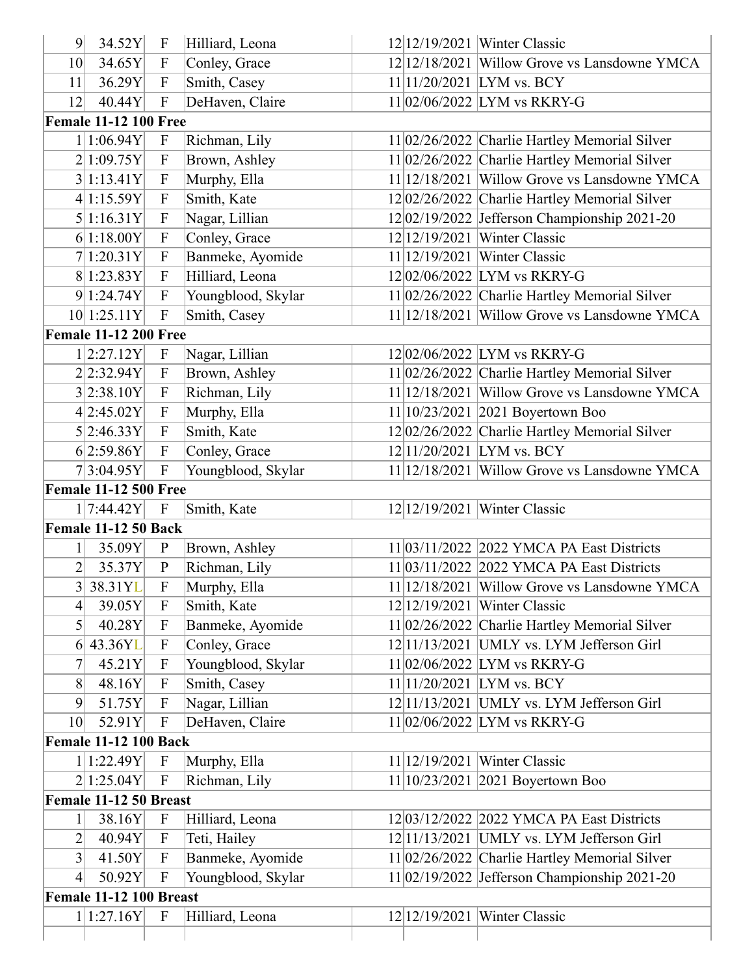| 9               | 34.52Y                       | $\mathbf{F}$              | Hilliard, Leona    |  | 12 12/19/2021   Winter Classic                  |
|-----------------|------------------------------|---------------------------|--------------------|--|-------------------------------------------------|
| 10              | 34.65Y                       | $\boldsymbol{\mathrm{F}}$ | Conley, Grace      |  | 12 12/18/2021 Willow Grove vs Lansdowne YMCA    |
| 11              | 36.29Y                       | $\boldsymbol{\mathrm{F}}$ | Smith, Casey       |  | 11 11/20/2021 LYM vs. BCY                       |
| 12              | 40.44Y                       | $\mathbf F$               | DeHaven, Claire    |  | 11 02/06/2022 LYM vs RKRY-G                     |
|                 | <b>Female 11-12 100 Free</b> |                           |                    |  |                                                 |
|                 | 1 1:06.94Y                   | $\boldsymbol{\mathrm{F}}$ | Richman, Lily      |  | 11 02/26/2022 Charlie Hartley Memorial Silver   |
|                 | 2 1:09.75Y                   | $\boldsymbol{\mathrm{F}}$ | Brown, Ashley      |  | 11 02/26/2022 Charlie Hartley Memorial Silver   |
|                 | 3 1:13.41Y                   | $\boldsymbol{\mathrm{F}}$ | Murphy, Ella       |  | $11 12/18/2021$ Willow Grove vs Lansdowne YMCA  |
|                 | 4 1:15.59Y                   | $\boldsymbol{\mathrm{F}}$ | Smith, Kate        |  | 12 02/26/2022 Charlie Hartley Memorial Silver   |
|                 | 5 1:16.31Y                   | $\boldsymbol{\mathrm{F}}$ | Nagar, Lillian     |  | 1202/19/2022 Jefferson Championship 2021-20     |
|                 | 6 1:18.00Y                   | $\boldsymbol{\mathrm{F}}$ | Conley, Grace      |  | 12 12/19/2021   Winter Classic                  |
|                 | 7 1:20.31Y                   | $\boldsymbol{\mathrm{F}}$ | Banmeke, Ayomide   |  | 11 12/19/2021   Winter Classic                  |
|                 | 8 1:23.83Y                   | $\boldsymbol{\mathrm{F}}$ | Hilliard, Leona    |  | 12 02/06/2022 LYM vs RKRY-G                     |
|                 | 9 1:24.74Y                   | $\mathbf{F}$              | Youngblood, Skylar |  | 11 02/26/2022 Charlie Hartley Memorial Silver   |
|                 | 10 1:25.11Y                  | $\mathbf F$               | Smith, Casey       |  | $11 12/18/2021$ Willow Grove vs Lansdowne YMCA  |
|                 | <b>Female 11-12 200 Free</b> |                           |                    |  |                                                 |
|                 | 1 2:27.12Y                   | $\boldsymbol{\mathrm{F}}$ | Nagar, Lillian     |  | 12 02/06/2022 LYM vs RKRY-G                     |
|                 | 2 2:32.94Y                   | $\boldsymbol{\mathrm{F}}$ | Brown, Ashley      |  | 11 02/26/2022 Charlie Hartley Memorial Silver   |
|                 | 3 2:38.10Y                   | $\boldsymbol{\mathrm{F}}$ | Richman, Lily      |  | 11 12/18/2021 Willow Grove vs Lansdowne YMCA    |
|                 | 4 2:45.02Y                   | $\boldsymbol{\mathrm{F}}$ | Murphy, Ella       |  | 11 10/23/2021   2021 Boyertown Boo              |
|                 | 5 2:46.33Y                   | $\mathbf F$               | Smith, Kate        |  | 12 02/26/2022 Charlie Hartley Memorial Silver   |
|                 | 6 2:59.86Y                   | $\mathbf{F}$              | Conley, Grace      |  | 12 11/20/2021 LYM vs. BCY                       |
|                 | 7 3:04.95Y                   | $\boldsymbol{\mathrm{F}}$ | Youngblood, Skylar |  | 11 12/18/2021 Willow Grove vs Lansdowne YMCA    |
|                 | <b>Female 11-12 500 Free</b> |                           |                    |  |                                                 |
|                 | 1 7:44.42Y                   | $\boldsymbol{\mathrm{F}}$ | Smith, Kate        |  | 12 12/19/2021   Winter Classic                  |
|                 | Female 11-12 50 Back         |                           |                    |  |                                                 |
| $\mathbf{1}$    | 35.09Y                       | $\mathbf{P}$              | Brown, Ashley      |  | 11 03/11/2022   2022 YMCA PA East Districts     |
| $\overline{2}$  | 35.37Y                       | ${\bf P}$                 | Richman, Lily      |  | 11 03/11/2022 2022 YMCA PA East Districts       |
| $3\vert$        | 38.31YL                      | $\boldsymbol{\mathrm{F}}$ | Murphy, Ella       |  | 11 12/18/2021 Willow Grove vs Lansdowne YMCA    |
| 4               | 39.05Y                       | F                         | Smith, Kate        |  | 12 12/19/2021   Winter Classic                  |
| $\vert 5 \vert$ | 40.28Y                       | $\mathbf F$               | Banmeke, Ayomide   |  | $11 02/26/2022$ Charlie Hartley Memorial Silver |
| 6               | 43.36YL                      | $\mathbf F$               | Conley, Grace      |  | 12 11/13/2021   UMLY vs. LYM Jefferson Girl     |
| 7               | 45.21Y                       | $\boldsymbol{\mathrm{F}}$ | Youngblood, Skylar |  | 11 02/06/2022 LYM vs RKRY-G                     |
| 8               | 48.16Y                       | $\mathbf F$               | Smith, Casey       |  | $11 11/20/2021$ LYM vs. BCY                     |
| 9               | 51.75Y                       | $\mathbf F$               | Nagar, Lillian     |  | $12 11/13/2021$ UMLY vs. LYM Jefferson Girl     |
| 10 <sup>l</sup> | 52.91Y                       | $\mathbf{F}$              | DeHaven, Claire    |  | 11 02/06/2022 LYM vs RKRY-G                     |
|                 | <b>Female 11-12 100 Back</b> |                           |                    |  |                                                 |
|                 | 1 1:22.49Y                   | $\mathbf F$               | Murphy, Ella       |  | $11 12/19/2021$ Winter Classic                  |
|                 | 2 1:25.04Y                   | $\mathbf{F}$              | Richman, Lily      |  | $11 10/23/2021 2021$ Boyertown Boo              |
|                 | Female 11-12 50 Breast       |                           |                    |  |                                                 |
| 1               | 38.16Y                       | $\mathbf{F}$              | Hilliard, Leona    |  | 12 03/12/2022   2022 YMCA PA East Districts     |
| $\overline{2}$  | 40.94Y                       | $\mathbf{F}$              | Teti, Hailey       |  | $12 11/13/2021$ UMLY vs. LYM Jefferson Girl     |
| $\overline{3}$  | 41.50Y                       | $\mathbf F$               | Banmeke, Ayomide   |  | 11 02/26/2022 Charlie Hartley Memorial Silver   |
| 4               | 50.92Y                       | $\mathbf F$               | Youngblood, Skylar |  | 11 02/19/2022 Jefferson Championship 2021-20    |
|                 | Female 11-12 100 Breast      |                           |                    |  |                                                 |
|                 | 1 1:27.16Y                   | $\mathbf F$               | Hilliard, Leona    |  | 12 12/19/2021   Winter Classic                  |
|                 |                              |                           |                    |  |                                                 |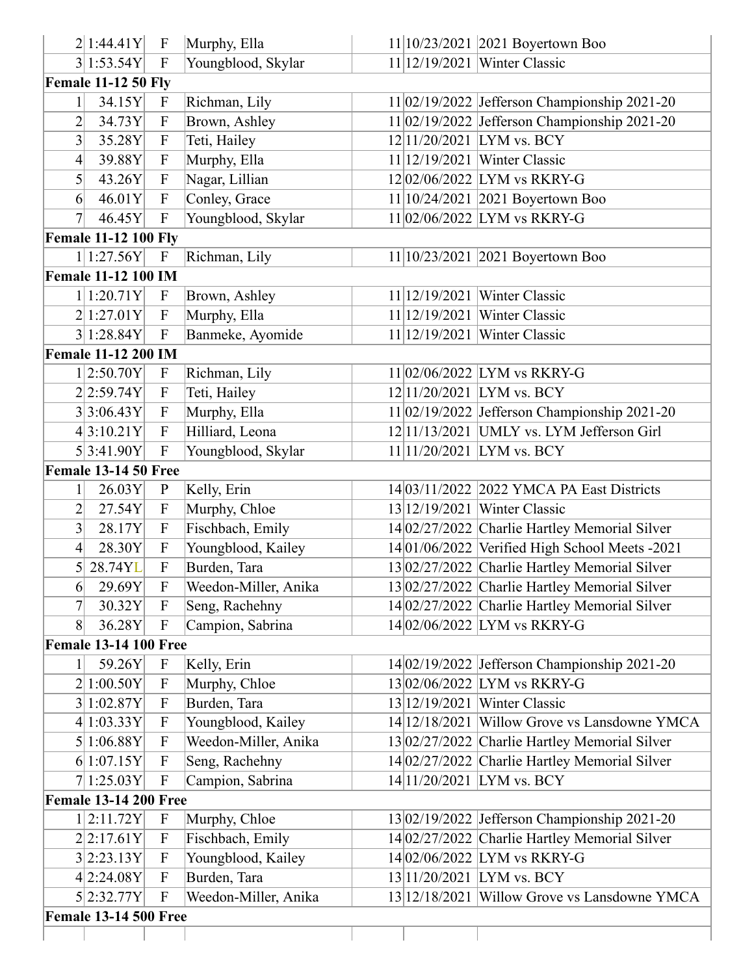|                | 2 1:44.41Y                   | $\mathbf F$               | Murphy, Ella         |               | $11 10/23/2021 2021$ Boyertown Boo               |
|----------------|------------------------------|---------------------------|----------------------|---------------|--------------------------------------------------|
|                | 3 1:53.54Y                   | $\mathbf{F}$              | Youngblood, Skylar   |               | 11 12/19/2021   Winter Classic                   |
|                | <b>Female 11-12 50 Fly</b>   |                           |                      |               |                                                  |
|                | 34.15Y                       | $\mathbf F$               | Richman, Lily        |               | $11 02/19/2022$ Jefferson Championship 2021-20   |
| $\overline{2}$ | 34.73Y                       | ${\bf F}$                 | Brown, Ashley        |               | $11 02/19/2022$ Jefferson Championship 2021-20   |
| 3              | 35.28Y                       | $\mathbf F$               | Teti, Hailey         |               | 12 11/20/2021 LYM vs. BCY                        |
| 4              | 39.88Y                       | $\mathbf F$               | Murphy, Ella         |               | $11 12/19/2021$ Winter Classic                   |
| 5              | 43.26Y                       | $\mathbf F$               | Nagar, Lillian       |               | 12 02/06/2022 LYM vs RKRY-G                      |
| 6              | 46.01Y                       | $\mathbf F$               | Conley, Grace        |               | 11 10/24/2021   2021 Boyertown Boo               |
| $\overline{7}$ | 46.45Y                       | $\mathbf F$               | Youngblood, Skylar   |               | $11 02/06/2022$ LYM vs RKRY-G                    |
|                | <b>Female 11-12 100 Fly</b>  |                           |                      |               |                                                  |
|                | 1 1:27.56Y                   | $\boldsymbol{\mathrm{F}}$ | Richman, Lily        |               | 11 10/23/2021   2021 Boyertown Boo               |
|                | <b>Female 11-12 100 IM</b>   |                           |                      |               |                                                  |
|                | 1 1:20.71Y                   | $\mathbf{F}$              | Brown, Ashley        | 11 12/19/2021 | Winter Classic                                   |
|                | 2 1:27.01Y                   | ${\bf F}$                 | Murphy, Ella         | 11 12/19/2021 | <b>Winter Classic</b>                            |
|                | 3 1:28.84Y                   | $\mathbf{F}$              | Banmeke, Ayomide     | 11 12/19/2021 | Winter Classic                                   |
|                | <b>Female 11-12 200 IM</b>   |                           |                      |               |                                                  |
|                | 1 2:50.70Y                   | $\mathbf F$               | Richman, Lily        |               | $11 02/06/2022$ LYM vs RKRY-G                    |
|                | 2 2:59.74Y                   | $\mathbf F$               | Teti, Hailey         |               | 12 11/20/2021 LYM vs. BCY                        |
|                | 3 3:06.43Y                   | $\boldsymbol{\mathrm{F}}$ | Murphy, Ella         |               | $11 02/19/2022$ Jefferson Championship 2021-20   |
|                | 4 3:10.21Y                   | $\mathbf F$               | Hilliard, Leona      |               | $12 11/13/2021$ UMLY vs. LYM Jefferson Girl      |
|                | 5 3:41.90Y                   | $\mathbf{F}$              | Youngblood, Skylar   |               | 11 11/20/2021 LYM vs. BCY                        |
|                | <b>Female 13-14 50 Free</b>  |                           |                      |               |                                                  |
| $\mathbf{1}$   | 26.03Y                       | $\mathbf{P}$              | Kelly, Erin          |               | 14 03/11/2022 2022 YMCA PA East Districts        |
| $\overline{2}$ | 27.54Y                       | $\mathbf F$               | Murphy, Chloe        |               | 13 12/19/2021   Winter Classic                   |
| 3              | 28.17Y                       | $\mathbf F$               | Fischbach, Emily     |               | 14 02/27/2022 Charlie Hartley Memorial Silver    |
| 4              | 28.30Y                       | $\mathbf F$               | Youngblood, Kailey   |               | $14 01/06/2022$ Verified High School Meets -2021 |
|                | 5 28.74YL                    | $\boldsymbol{\mathrm{F}}$ | Burden, Tara         |               | 13 02/27/2022 Charlie Hartley Memorial Silver    |
| 6              | 29.69Y                       | $\mathbf{F}$              | Weedon-Miller, Anika |               | 13 02/27/2022 Charlie Hartley Memorial Silver    |
| 7              | 30.32Y                       | $\mathbf F$               | Seng, Rachehny       |               | 14 02/27/2022 Charlie Hartley Memorial Silver    |
| 8              | 36.28Y                       | $\boldsymbol{\mathrm{F}}$ | Campion, Sabrina     |               | 14 02/06/2022 LYM vs RKRY-G                      |
|                | <b>Female 13-14 100 Free</b> |                           |                      |               |                                                  |
|                | 59.26Y                       | $\mathbf F$               | Kelly, Erin          |               | 14 02/19/2022 Jefferson Championship 2021-20     |
|                | 2 1:00.50Y                   | $\mathbf F$               | Murphy, Chloe        |               | 13 02/06/2022 LYM vs RKRY-G                      |
|                | 3 1:02.87Y                   | $\mathbf F$               | Burden, Tara         |               | 13 12/19/2021   Winter Classic                   |
|                | 4 1:03.33Y                   | $\mathbf F$               | Youngblood, Kailey   |               | 14 12/18/2021 Willow Grove vs Lansdowne YMCA     |
|                | 5 1:06.88Y                   | $\mathbf{F}$              | Weedon-Miller, Anika |               | 13 02/27/2022 Charlie Hartley Memorial Silver    |
|                | 6 1:07.15Y                   | $\mathbf F$               | Seng, Rachehny       |               | 14 02/27/2022 Charlie Hartley Memorial Silver    |
|                | 7 1:25.03Y                   | $\boldsymbol{\mathrm{F}}$ | Campion, Sabrina     |               | 14 11/20 / 2021 LYM vs. BCY                      |
|                | <b>Female 13-14 200 Free</b> |                           |                      |               |                                                  |
|                | 1 2:11.72Y                   | $\boldsymbol{\mathrm{F}}$ | Murphy, Chloe        |               | 13 02/19/2022 Jefferson Championship 2021-20     |
|                | 2 2:17.61Y                   | $\boldsymbol{\mathrm{F}}$ | Fischbach, Emily     |               | 14 02/27/2022 Charlie Hartley Memorial Silver    |
|                | 3 2:23.13Y                   | $\mathbf F$               | Youngblood, Kailey   |               | 14 02/06/2022 LYM vs RKRY-G                      |
|                | 4 2:24.08Y                   | $\mathbf F$               | Burden, Tara         |               | 13 11/20/2021 LYM vs. BCY                        |
|                | 5 2:32.77Y                   | $\mathbf{F}$              | Weedon-Miller, Anika |               | 13 12/18/2021 Willow Grove vs Lansdowne YMCA     |
|                |                              |                           |                      |               |                                                  |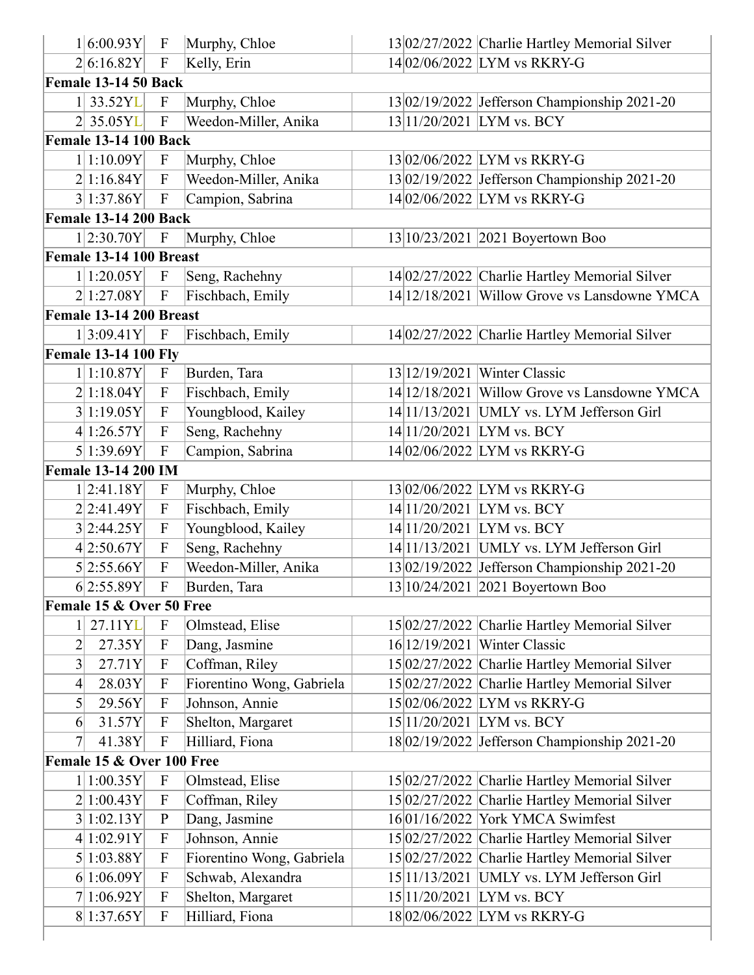|                | 1 6:00.93Y                   | $\mathbf F$               | Murphy, Chloe             |               | 13 02/27/2022 Charlie Hartley Memorial Silver |
|----------------|------------------------------|---------------------------|---------------------------|---------------|-----------------------------------------------|
|                | 2 6:16.82Y                   | $\boldsymbol{\mathrm{F}}$ | Kelly, Erin               |               | 14 02/06/2022 LYM vs RKRY-G                   |
|                | <b>Female 13-14 50 Back</b>  |                           |                           |               |                                               |
|                | 1 33.52YL                    | $\boldsymbol{\mathrm{F}}$ | Murphy, Chloe             |               | 13 02/19/2022 Jefferson Championship 2021-20  |
|                | $2$ 35.05YL                  | $\mathbf{F}$              | Weedon-Miller, Anika      |               | 13 11/20/2021 LYM vs. BCY                     |
|                | <b>Female 13-14 100 Back</b> |                           |                           |               |                                               |
|                | 1 1:10.09Y                   | $\mathbf{F}$              | Murphy, Chloe             |               | 13 02/06/2022 LYM vs RKRY-G                   |
|                | 2 1:16.84Y                   | $\boldsymbol{\mathrm{F}}$ | Weedon-Miller, Anika      |               | 13 02/19/2022 Jefferson Championship 2021-20  |
|                | 3 1:37.86Y                   | $\boldsymbol{\mathrm{F}}$ | Campion, Sabrina          |               | 14 02/06/2022 LYM vs RKRY-G                   |
|                | <b>Female 13-14 200 Back</b> |                           |                           |               |                                               |
|                | 1 2:30.70Y                   | $\mathbf{F}$              | Murphy, Chloe             |               | 13 10/23/2021   2021 Boyertown Boo            |
|                | Female 13-14 100 Breast      |                           |                           |               |                                               |
|                | 1 1:20.05Y                   | $\boldsymbol{\mathrm{F}}$ | Seng, Rachehny            |               | 14 02/27/2022 Charlie Hartley Memorial Silver |
|                | 2 1:27.08Y                   | $\boldsymbol{\mathrm{F}}$ | Fischbach, Emily          |               | 14 12/18/2021 Willow Grove vs Lansdowne YMCA  |
|                | Female 13-14 200 Breast      |                           |                           |               |                                               |
|                | 1 3:09.41Y                   | $\boldsymbol{\mathrm{F}}$ | Fischbach, Emily          |               | 14 02/27/2022 Charlie Hartley Memorial Silver |
|                | <b>Female 13-14 100 Fly</b>  |                           |                           |               |                                               |
|                | 1 1:10.87Y                   | $\boldsymbol{\mathrm{F}}$ | Burden, Tara              | 13 12/19/2021 | Winter Classic                                |
|                | 2 1:18.04Y                   | $\boldsymbol{\mathrm{F}}$ | Fischbach, Emily          |               | 14 12/18/2021 Willow Grove vs Lansdowne YMCA  |
|                | 3 1:19.05Y                   | $\mathbf{F}$              | Youngblood, Kailey        |               | 14 11/13/2021 UMLY vs. LYM Jefferson Girl     |
|                | 4 1:26.57Y                   | ${\bf F}$                 | Seng, Rachehny            |               | 14 11/20/2021 LYM vs. BCY                     |
|                | 5 1:39.69Y                   | $\mathbf{F}$              | Campion, Sabrina          |               | 14 02/06/2022 LYM vs RKRY-G                   |
|                | <b>Female 13-14 200 IM</b>   |                           |                           |               |                                               |
|                | 1 2:41.18Y                   | $\boldsymbol{\mathrm{F}}$ | Murphy, Chloe             |               | 13 02/06/2022 LYM vs RKRY-G                   |
|                | 2 2:41.49Y                   | $\boldsymbol{\mathrm{F}}$ | Fischbach, Emily          |               | 14 11/20 / 2021 LYM vs. BCY                   |
|                | 3 2:44.25Y                   | $\boldsymbol{\mathrm{F}}$ | Youngblood, Kailey        |               | 14 11/20/2021 LYM vs. BCY                     |
|                | 4 2:50.67Y                   | $\boldsymbol{\mathrm{F}}$ | Seng, Rachehny            |               | 14 11/13/2021 UMLY vs. LYM Jefferson Girl     |
|                | 5 2:55.66Y                   | $\overline{F}$            | Weedon-Miller, Anika      |               | 13 02/19/2022 Jefferson Championship 2021-20  |
|                | 6 2:55.89Y                   | $\boldsymbol{\mathrm{F}}$ | Burden, Tara              |               | 13 10/24/2021 2021 Boyertown Boo              |
|                | Female 15 & Over 50 Free     |                           |                           |               |                                               |
| $1\vert$       | 27.11YL                      | ${\bf F}$                 | Olmstead, Elise           |               | 15 02/27/2022 Charlie Hartley Memorial Silver |
| $\overline{2}$ | 27.35Y                       | $\boldsymbol{\mathrm{F}}$ | Dang, Jasmine             |               | 16 12/19/2021   Winter Classic                |
| $\overline{3}$ | 27.71Y                       | $\boldsymbol{\mathrm{F}}$ | Coffman, Riley            |               | 15 02/27/2022 Charlie Hartley Memorial Silver |
| $\overline{4}$ | 28.03Y                       | $\mathbf F$               | Fiorentino Wong, Gabriela |               | 15 02/27/2022 Charlie Hartley Memorial Silver |
| $\mathfrak{h}$ | 29.56Y                       | $\boldsymbol{\mathrm{F}}$ | Johnson, Annie            |               | 15 02/06/2022 LYM vs RKRY-G                   |
| 6              | 31.57Y                       | $\boldsymbol{\mathrm{F}}$ | Shelton, Margaret         |               | 15 11/20/2021 LYM vs. BCY                     |
| $\tau$         | 41.38Y                       | $\boldsymbol{\mathrm{F}}$ | Hilliard, Fiona           |               | 18 02/19/2022 Jefferson Championship 2021-20  |
|                | Female 15 & Over 100 Free    |                           |                           |               |                                               |
|                | 1 1:00.35Y                   | $\boldsymbol{\mathrm{F}}$ | Olmstead, Elise           |               | 15 02/27/2022 Charlie Hartley Memorial Silver |
|                | 2 1:00.43Y                   | $\mathbf F$               | Coffman, Riley            |               | 15 02/27/2022 Charlie Hartley Memorial Silver |
|                | 3 1:02.13Y                   | $\, {\bf P}$              | Dang, Jasmine             |               | 16 01/16/2022 York YMCA Swimfest              |
|                | 4 1:02.91Y                   | $\boldsymbol{\mathrm{F}}$ | Johnson, Annie            |               | 15 02/27/2022 Charlie Hartley Memorial Silver |
|                | 5 1:03.88Y                   | $\boldsymbol{\mathrm{F}}$ | Fiorentino Wong, Gabriela |               | 15 02/27/2022 Charlie Hartley Memorial Silver |
|                | 6 1:06.09Y                   | $\boldsymbol{\mathrm{F}}$ | Schwab, Alexandra         |               | 15 11/13/2021 UMLY vs. LYM Jefferson Girl     |
|                | 7 1:06.92Y                   | $\boldsymbol{\mathrm{F}}$ | Shelton, Margaret         |               | 15 11/20/2021  LYM vs. BCY                    |
|                | 8 1:37.65Y                   | $\boldsymbol{\mathrm{F}}$ | Hilliard, Fiona           |               | 18 02/06/2022 LYM vs RKRY-G                   |
|                |                              |                           |                           |               |                                               |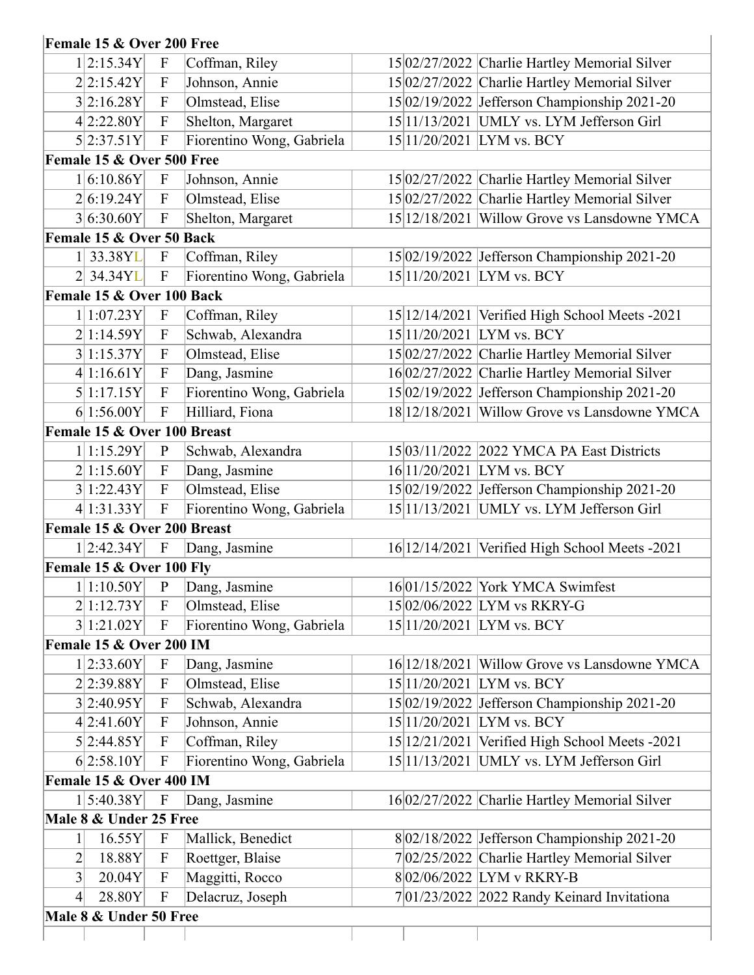## **Female 15 & Over 200 Free**

| 1 2:15.34Y                                                                             | $\mathbf F$                                   | Coffman, Riley                      | 15 02/27/2022 Charlie Hartley Memorial Silver                             |
|----------------------------------------------------------------------------------------|-----------------------------------------------|-------------------------------------|---------------------------------------------------------------------------|
| 2 2:15.42Y                                                                             | $\mathbf{F}$                                  | Johnson, Annie                      | 15 02/27/2022 Charlie Hartley Memorial Silver                             |
| 3 2:16.28Y                                                                             | $\mathbf{F}$                                  | Olmstead, Elise                     | 15 02/19/2022 Jefferson Championship 2021-20                              |
| 4 2:22.80Y                                                                             | $\mathbf{F}$                                  | Shelton, Margaret                   | 15 11/13/2021 UMLY vs. LYM Jefferson Girl                                 |
| 5 2:37.51Y                                                                             | $\boldsymbol{\mathrm{F}}$                     | Fiorentino Wong, Gabriela           | 15 11/20/2021 LYM vs. BCY                                                 |
| Female 15 & Over 500 Free                                                              |                                               |                                     |                                                                           |
| 1 6:10.86Y                                                                             | $\mathbf F$                                   | Johnson, Annie                      | 15 02/27/2022 Charlie Hartley Memorial Silver                             |
| 2 6:19.24Y                                                                             | $\mathbf{F}$                                  | Olmstead, Elise                     | 15 02/27/2022 Charlie Hartley Memorial Silver                             |
| 3 6:30.60Y                                                                             | $\boldsymbol{\mathrm{F}}$                     | Shelton, Margaret                   | 15 12/18/2021 Willow Grove vs Lansdowne YMCA                              |
| Female 15 & Over 50 Back                                                               |                                               |                                     |                                                                           |
| 1 33.38YL                                                                              | $\mathbf F$                                   | Coffman, Riley                      | 15 02/19/2022 Jefferson Championship 2021-20                              |
| 2 34.34YL                                                                              | $\mathbf{F}$                                  | Fiorentino Wong, Gabriela           | 15 11/20/2021 LYM vs. BCY                                                 |
| Female 15 & Over 100 Back                                                              |                                               |                                     |                                                                           |
| 1 1:07.23Y                                                                             | $\boldsymbol{\mathrm{F}}$                     | Coffman, Riley                      | 15 12/14/2021 Verified High School Meets - 2021                           |
| 2 1:14.59Y                                                                             | $\mathbf{F}$                                  | Schwab, Alexandra                   | 15 11/20/2021  LYM vs. BCY                                                |
| 3 1:15.37Y                                                                             | $\mathbf F$                                   | Olmstead, Elise                     | 15 02/27/2022 Charlie Hartley Memorial Silver                             |
| 4 1:16.61Y                                                                             | $\mathbf F$                                   | Dang, Jasmine                       | 16 02/27/2022 Charlie Hartley Memorial Silver                             |
| 5 1:17.15Y                                                                             | $\boldsymbol{\mathrm{F}}$                     | Fiorentino Wong, Gabriela           | 15 02/19/2022 Jefferson Championship 2021-20                              |
| 6 1:56.00Y                                                                             | $\mathbf{F}$                                  | Hilliard, Fiona                     | 18 12/18/2021 Willow Grove vs Lansdowne YMCA                              |
| Female 15 & Over 100 Breast                                                            |                                               |                                     |                                                                           |
| 1 1:15.29Y                                                                             | $\mathbf{P}$                                  | Schwab, Alexandra                   | 15 03/11/2022  2022 YMCA PA East Districts                                |
| 2 1:15.60Y                                                                             | $\mathbf{F}$                                  | Dang, Jasmine                       | 16 11/20/2021 LYM vs. BCY                                                 |
| 3 1:22.43Y                                                                             | $\boldsymbol{\mathrm{F}}$                     | Olmstead, Elise                     | 15 02/19/2022 Jefferson Championship 2021-20                              |
| 4 1:31.33Y                                                                             | ${\bf F}$                                     | Fiorentino Wong, Gabriela           | 15 11/13/2021   UMLY vs. LYM Jefferson Girl                               |
| Female 15 & Over 200 Breast                                                            |                                               |                                     |                                                                           |
| 1 2:42.34Y                                                                             | $\boldsymbol{\mathrm{F}}$                     | Dang, Jasmine                       | 16 12/14/2021 Verified High School Meets - 2021                           |
| Female 15 & Over 100 Fly                                                               |                                               |                                     |                                                                           |
| 1 1:10.50Y                                                                             | $\mathbf{P}$                                  | Dang, Jasmine                       | 16 01/15/2022 York YMCA Swimfest                                          |
| 2 1:12.73Y                                                                             | $\mathbf F$                                   | Olmstead, Elise                     | 1502/06/2022 LYM vs RKRY-G                                                |
| 3 1:21.02Y                                                                             | $\mathbf{F}$                                  | Fiorentino Wong, Gabriela           | 15 11/20/2021 LYM vs. BCY                                                 |
| Female 15 & Over 200 IM                                                                |                                               |                                     |                                                                           |
| 1 2:33.60Y                                                                             | $\boldsymbol{\mathrm{F}}$                     | Dang, Jasmine                       | 16 12/18/2021 Willow Grove vs Lansdowne YMCA                              |
|                                                                                        |                                               | Olmstead, Elise                     | 15 11/20/2021 LYM vs. BCY                                                 |
|                                                                                        |                                               |                                     |                                                                           |
| 2 2:39.88Y                                                                             | $\mathbf{F}$                                  |                                     |                                                                           |
| 3 2:40.95Y                                                                             | $\mathbf{F}$                                  | Schwab, Alexandra                   | 15 02/19/2022 Jefferson Championship 2021-20                              |
| 4 2:41.60Y                                                                             | $\boldsymbol{F}$                              | Johnson, Annie                      | 15 11/20/2021  LYM vs. BCY                                                |
| 5 2:44.85Y                                                                             | $\mathbf F$                                   | Coffman, Riley                      | 15 12/21/2021 Verified High School Meets - 2021                           |
| 6 2:58.10Y                                                                             | $\boldsymbol{F}$                              | Fiorentino Wong, Gabriela           | UMLY vs. LYM Jefferson Girl<br>15 11/13/2021                              |
|                                                                                        |                                               |                                     |                                                                           |
| 1 5:40.38Y                                                                             | $\mathbf F$                                   | Dang, Jasmine                       | 16 02/27/2022 Charlie Hartley Memorial Silver                             |
|                                                                                        |                                               |                                     |                                                                           |
| <b>Female 15 &amp; Over 400 IM</b><br>Male 8 & Under 25 Free<br>16.55Y<br>$\mathbf{1}$ | $\boldsymbol{\mathrm{F}}$                     | Mallick, Benedict                   | 8 02/18/2022 Jefferson Championship 2021-20                               |
| 18.88Y<br>2                                                                            | $\boldsymbol{F}$                              | Roettger, Blaise                    | 7 02/25/2022 Charlie Hartley Memorial Silver                              |
| 3<br>20.04Y<br> 4 <br>28.80Y                                                           | $\boldsymbol{F}$<br>$\boldsymbol{\mathrm{F}}$ | Maggitti, Rocco<br>Delacruz, Joseph | 802/06/2022 LYM v RKRY-B<br>$7 01/23/2022 2022$ Randy Keinard Invitationa |

 $\begin{array}{c} \hline \end{array}$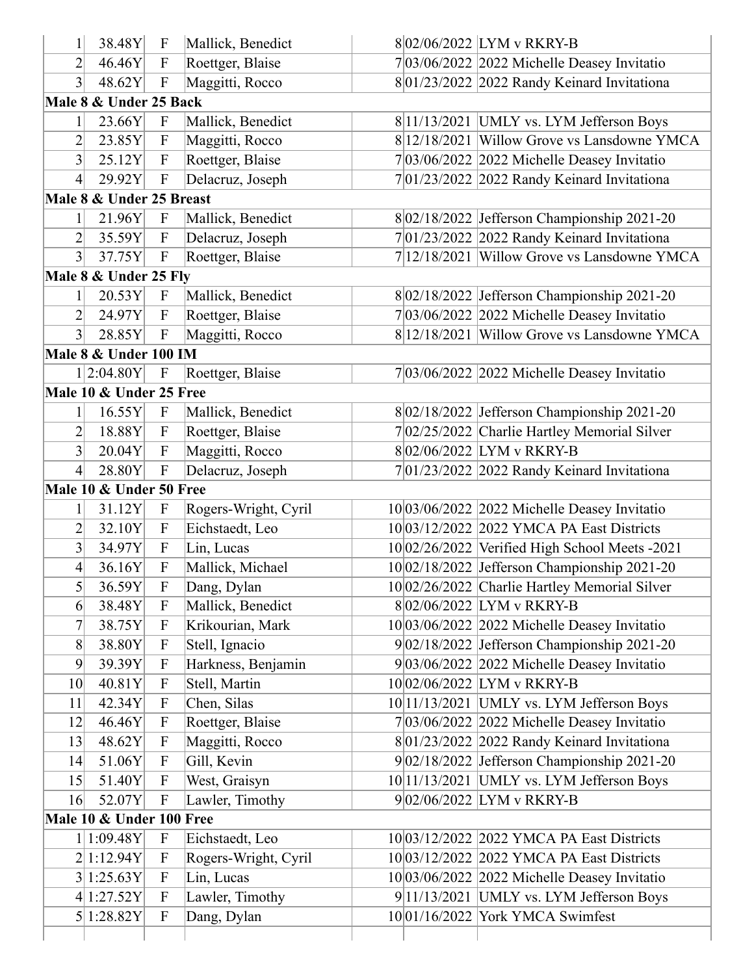|                   | 38.48Y                   | $\boldsymbol{\mathrm{F}}$ | Mallick, Benedict    | 802/06/2022 LYM v RKRY-B                        |
|-------------------|--------------------------|---------------------------|----------------------|-------------------------------------------------|
| $\overline{2}$    | 46.46Y                   | $\mathbf{F}$              | Roettger, Blaise     | 7 03/06/2022 2022 Michelle Deasey Invitatio     |
| $3\vert$          | 48.62Y                   | ${\bf F}$                 | Maggitti, Rocco      | 801/23/2022 2022 Randy Keinard Invitationa      |
|                   | Male 8 & Under 25 Back   |                           |                      |                                                 |
| $1\vert$          | 23.66Y                   | $\mathbf{F}$              | Mallick, Benedict    | 8 11/13/2021   UMLY vs. LYM Jefferson Boys      |
| 2                 | 23.85Y                   | $\mathbf{F}$              | Maggitti, Rocco      | 8 12/18/2021 Willow Grove vs Lansdowne YMCA     |
| $\vert 3 \vert$   | 25.12Y                   | ${\bf F}$                 | Roettger, Blaise     | $7 03/06/2022 2022$ Michelle Deasey Invitatio   |
| $\left 4\right $  | 29.92Y                   | $\boldsymbol{\mathrm{F}}$ | Delacruz, Joseph     | $7 01/23/2022 2022$ Randy Keinard Invitationa   |
|                   | Male 8 & Under 25 Breast |                           |                      |                                                 |
|                   | 21.96Y                   | $\mathbf F$               | Mallick, Benedict    | 8 02/18/2022 Jefferson Championship 2021-20     |
| 2                 | 35.59Y                   | $\boldsymbol{\mathrm{F}}$ | Delacruz, Joseph     | $7 01/23/2022 2022$ Randy Keinard Invitationa   |
| $3\vert$          | 37.75Y                   | $\boldsymbol{\mathrm{F}}$ | Roettger, Blaise     | 7 12/18/2021 Willow Grove vs Lansdowne YMCA     |
|                   | Male 8 & Under 25 Fly    |                           |                      |                                                 |
|                   | 20.53Y                   | $\mathbf F$               | Mallick, Benedict    | 8 02/18/2022 Jefferson Championship 2021-20     |
| $\overline{2}$    | 24.97Y                   | $\mathbf{F}$              | Roettger, Blaise     | $7 03/06/2022 2022$ Michelle Deasey Invitatio   |
| $3\vert$          | 28.85Y                   | $\mathbf F$               | Maggitti, Rocco      | 8 12/18/2021 Willow Grove vs Lansdowne YMCA     |
|                   | Male 8 & Under 100 IM    |                           |                      |                                                 |
|                   | 1 2:04.80Y               | $\boldsymbol{\mathrm{F}}$ | Roettger, Blaise     | $7 03/06/2022 2022$ Michelle Deasey Invitatio   |
|                   | Male 10 & Under 25 Free  |                           |                      |                                                 |
|                   | 16.55Y                   | $\mathbf{F}$              | Mallick, Benedict    | 8 02/18/2022 Jefferson Championship 2021-20     |
| $\overline{2}$    | 18.88Y                   | ${\bf F}$                 | Roettger, Blaise     | 7 02/25/2022 Charlie Hartley Memorial Silver    |
| $\vert 3 \vert$   | 20.04Y                   | $\boldsymbol{\mathrm{F}}$ | Maggitti, Rocco      | 802/06/2022 LYM v RKRY-B                        |
| $\left 4\right $  | 28.80Y                   | ${\bf F}$                 | Delacruz, Joseph     | $7 01/23/2022 2022$ Randy Keinard Invitationa   |
|                   | Male 10 & Under 50 Free  |                           |                      |                                                 |
| $1\vert$          | 31.12Y                   | $\boldsymbol{\mathrm{F}}$ | Rogers-Wright, Cyril | $10 03/06/2022 2022$ Michelle Deasey Invitatio  |
| $\overline{2}$    | 32.10Y                   | $\boldsymbol{\mathrm{F}}$ | Eichstaedt, Leo      | 10 03/12/2022 2022 YMCA PA East Districts       |
| $\left 3\right $  | 34.97Y                   | ${\bf F}$                 | Lin, Lucas           | 10 02/26/2022 Verified High School Meets - 2021 |
| $\vert 4 \vert$   | 36.16Y                   | $\boldsymbol{\mathrm{F}}$ | Mallick, Michael     | 10 02/18/2022 Jefferson Championship 2021-20    |
| $\mathsf{S}\vert$ | 36.59Y                   | $\boldsymbol{\mathrm{F}}$ | Dang, Dylan          | 10 02/26/2022 Charlie Hartley Memorial Silver   |
| 6                 | 38.48Y                   | F                         | Mallick, Benedict    | 802/06/2022 LYM v RKRY-B                        |
| $7\vert$          | 38.75Y                   | $\boldsymbol{\mathrm{F}}$ | Krikourian, Mark     | $10 03/06/2022 2022$ Michelle Deasey Invitatio  |
| 8                 | 38.80Y                   | $\boldsymbol{\mathrm{F}}$ | Stell, Ignacio       | $9 02/18/2022$ Jefferson Championship 2021-20   |
| 9                 | 39.39Y                   | $\boldsymbol{\mathrm{F}}$ | Harkness, Benjamin   | $9 03/06/2022 2022$ Michelle Deasey Invitatio   |
| 10 <sup>l</sup>   | 40.81Y                   | ${\bf F}$                 | Stell, Martin        | 1002/06/2022 LYM v RKRY-B                       |
| 11                | 42.34Y                   | ${\bf F}$                 | Chen, Silas          | $10 11/13/2021$ UMLY vs. LYM Jefferson Boys     |
| 12                | 46.46Y                   | $\boldsymbol{\mathrm{F}}$ | Roettger, Blaise     | $7 03/06/2022 2022$ Michelle Deasey Invitatio   |
| 13                | 48.62Y                   | $\boldsymbol{\mathrm{F}}$ | Maggitti, Rocco      | $8 01/23/2022 2022$ Randy Keinard Invitationa   |
| 14                | 51.06Y                   | ${\bf F}$                 | Gill, Kevin          | $9 02/18/2022$ Jefferson Championship 2021-20   |
| 15                | 51.40Y                   | ${\bf F}$                 | West, Graisyn        | $10 11/13/2021$ UMLY vs. LYM Jefferson Boys     |
| 16                | 52.07Y                   | $\boldsymbol{\mathrm{F}}$ | Lawler, Timothy      | 902/06/2022 LYM v RKRY-B                        |
|                   | Male 10 & Under 100 Free |                           |                      |                                                 |
|                   | 1 1:09.48Y               | $\boldsymbol{\mathrm{F}}$ | Eichstaedt, Leo      | 10 03/12/2022 2022 YMCA PA East Districts       |
|                   | 2 1:12.94Y               | $\boldsymbol{\mathrm{F}}$ | Rogers-Wright, Cyril | 10 03/12/2022 2022 YMCA PA East Districts       |
|                   | 3 1:25.63Y               | ${\bf F}$                 | Lin, Lucas           | $10 03/06/2022 2022$ Michelle Deasey Invitatio  |
|                   |                          |                           |                      |                                                 |
|                   | 4 1:27.52Y               | $\mathbf{F}$              | Lawler, Timothy      | $9 11/13/2021$ UMLY vs. LYM Jefferson Boys      |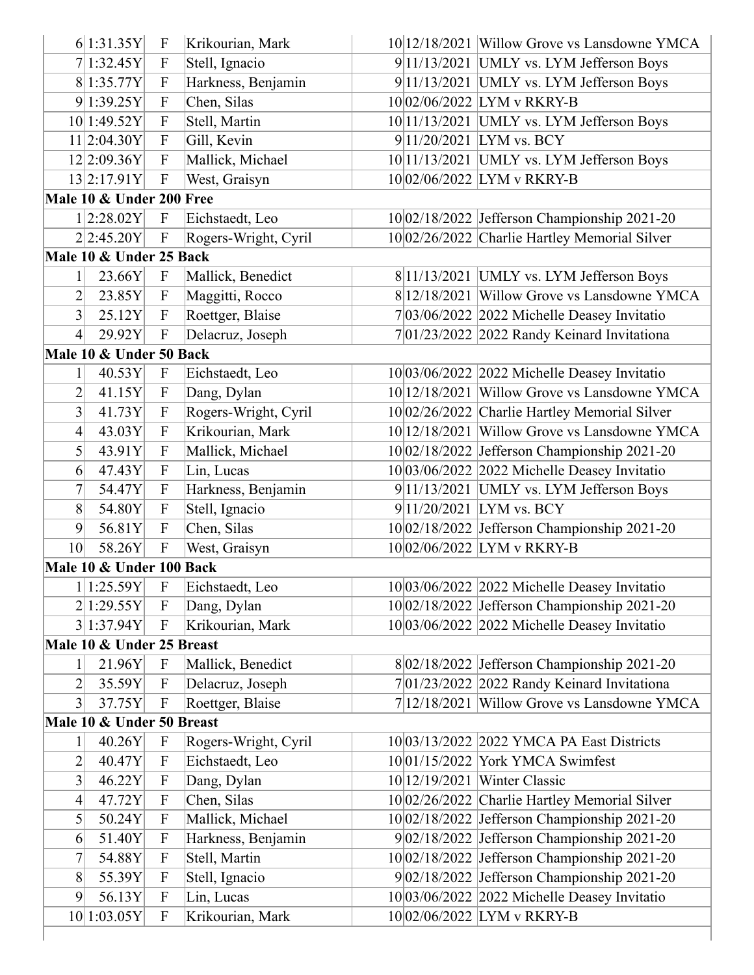|                | 6 1:31.35Y                | $\mathbf{F}$              | Krikourian, Mark     |               | 10 12/18/2021 Willow Grove vs Lansdowne YMCA   |
|----------------|---------------------------|---------------------------|----------------------|---------------|------------------------------------------------|
|                | 7 1:32.45Y                | $\boldsymbol{\mathrm{F}}$ | Stell, Ignacio       |               | 9 11/13/2021   UMLY vs. LYM Jefferson Boys     |
|                | 8 1:35.77Y                | $\mathbf{F}$              | Harkness, Benjamin   |               | $9 11/13/2021$ UMLY vs. LYM Jefferson Boys     |
|                | 9 1:39.25Y                | $\boldsymbol{\mathrm{F}}$ | Chen, Silas          |               | 10 02/06/2022 LYM v RKRY-B                     |
|                | 10 1:49.52Y               | $\boldsymbol{\mathrm{F}}$ | Stell, Martin        |               | 10 11/13/2021 UMLY vs. LYM Jefferson Boys      |
|                | 11 2:04.30Y               | $\boldsymbol{\mathrm{F}}$ | Gill, Kevin          |               | 9 11/20/2021 LYM vs. BCY                       |
|                | 12 2:09.36Y               | $\mathbf{F}$              | Mallick, Michael     |               | $10 11/13/2021$ UMLY vs. LYM Jefferson Boys    |
|                | 13 2:17.91Y               | $\mathbf F$               | West, Graisyn        |               | 10 02/06/2022 LYM v RKRY-B                     |
|                | Male 10 & Under 200 Free  |                           |                      |               |                                                |
|                | 1 2:28.02Y                | $\mathbf F$               | Eichstaedt, Leo      |               | 10 02/18/2022 Jefferson Championship 2021-20   |
|                | 2 2:45.20Y                | $\mathbf F$               | Rogers-Wright, Cyril |               | 10 02/26/2022 Charlie Hartley Memorial Silver  |
|                | Male 10 & Under 25 Back   |                           |                      |               |                                                |
| 1              | 23.66Y                    | $\boldsymbol{\mathrm{F}}$ | Mallick, Benedict    |               | 8 11/13/2021   UMLY vs. LYM Jefferson Boys     |
| $\overline{c}$ | 23.85Y                    | $\mathbf{F}$              | Maggitti, Rocco      |               | 8 12/18/2021   Willow Grove vs Lansdowne YMCA  |
| 3              | 25.12Y                    | $\mathbf{F}$              | Roettger, Blaise     |               | 7 03/06/2022   2022 Michelle Deasey Invitatio  |
| 4              | 29.92Y                    | $\boldsymbol{\mathrm{F}}$ | Delacruz, Joseph     |               | $7 01/23/2022 2022$ Randy Keinard Invitationa  |
|                | Male 10 & Under 50 Back   |                           |                      |               |                                                |
| 1              | 40.53Y                    | $\mathbf{F}$              | Eichstaedt, Leo      |               | $10 03/06/2022 2022$ Michelle Deasey Invitatio |
| $\overline{2}$ | 41.15Y                    | $\mathbf{F}$              | Dang, Dylan          |               | 10 12/18/2021 Willow Grove vs Lansdowne YMCA   |
| 3              | 41.73Y                    | $\boldsymbol{\mathrm{F}}$ | Rogers-Wright, Cyril |               | 10 02/26/2022 Charlie Hartley Memorial Silver  |
| 4              | 43.03Y                    | $\mathbf{F}$              | Krikourian, Mark     | 10 12/18/2021 | Willow Grove vs Lansdowne YMCA                 |
| 5              | 43.91Y                    | $\boldsymbol{\mathrm{F}}$ | Mallick, Michael     |               | 10 02/18/2022 Jefferson Championship 2021-20   |
| 6              | 47.43Y                    | $\mathbf{F}$              | Lin, Lucas           |               | 10 03/06/2022 2022 Michelle Deasey Invitatio   |
| 7              | 54.47Y                    | $\mathbf F$               | Harkness, Benjamin   |               | 9 11/13/2021   UMLY vs. LYM Jefferson Boys     |
| 8              | 54.80Y                    | $\boldsymbol{\mathrm{F}}$ | Stell, Ignacio       |               | $9 11/20/2021$ LYM vs. BCY                     |
| 9              | 56.81Y                    | $\boldsymbol{\mathrm{F}}$ | Chen, Silas          |               | 10 02/18/2022 Jefferson Championship 2021-20   |
| 10             | 58.26Y                    | $\mathbf{F}$              | West, Graisyn        |               | 10 02/06/2022 LYM v RKRY-B                     |
|                | Male 10 & Under 100 Back  |                           |                      |               |                                                |
|                | $1 1:25.59Y $ F           |                           | Eichstaedt, Leo      |               | $10 03/06/2022 2022$ Michelle Deasey Invitatio |
|                | 2 1:29.55Y                | F                         | Dang, Dylan          |               | 10 02/18/2022 Jefferson Championship 2021-20   |
|                | 3 1:37.94Y                | $\mathbf F$               | Krikourian, Mark     |               | 10 03/06/2022 2022 Michelle Deasey Invitatio   |
|                | Male 10 & Under 25 Breast |                           |                      |               |                                                |
| 1              | 21.96Y                    | $\mathbf F$               | Mallick, Benedict    |               | 8 02/18/2022 Jefferson Championship 2021-20    |
| $\overline{2}$ | 35.59Y                    | $\mathbf F$               | Delacruz, Joseph     |               | 7 01/23/2022 2022 Randy Keinard Invitationa    |
| 3              | 37.75Y                    | $\mathbf F$               | Roettger, Blaise     |               | 7 12/18/2021 Willow Grove vs Lansdowne YMCA    |
|                | Male 10 & Under 50 Breast |                           |                      |               |                                                |
| 1              | 40.26Y                    | $\boldsymbol{\mathrm{F}}$ | Rogers-Wright, Cyril |               | 10 03/13/2022 2022 YMCA PA East Districts      |
| $\overline{c}$ | 40.47Y                    | $\mathbf{F}$              | Eichstaedt, Leo      |               | 10 01/15/2022 York YMCA Swimfest               |
| 3              | 46.22Y                    | $\mathbf{F}$              | Dang, Dylan          |               | 10 12/19/2021 Winter Classic                   |
| 4              | 47.72Y                    | $\mathbf F$               | Chen, Silas          |               | 10 02/26/2022 Charlie Hartley Memorial Silver  |
| 5              | 50.24Y                    | $\mathbf{F}$              | Mallick, Michael     |               | 10 02/18/2022 Jefferson Championship 2021-20   |
| 6              | 51.40Y                    | $\mathbf F$               | Harkness, Benjamin   |               | 9 02/18/2022 Jefferson Championship 2021-20    |
| 7              | 54.88Y                    | $\mathbf{F}$              | Stell, Martin        |               | 10 02/18/2022 Jefferson Championship 2021-20   |
| 8              | 55.39Y                    | $\mathbf F$               | Stell, Ignacio       |               | 9 02/18/2022 Jefferson Championship 2021-20    |
| 9              | 56.13Y                    | $\mathbf F$               | Lin, Lucas           |               | 10 03/06/2022 2022 Michelle Deasey Invitatio   |
|                | 10 1:03.05Y               | $\mathbf{F}$              | Krikourian, Mark     |               | 10 02/06/2022 LYM v RKRY-B                     |
|                |                           |                           |                      |               |                                                |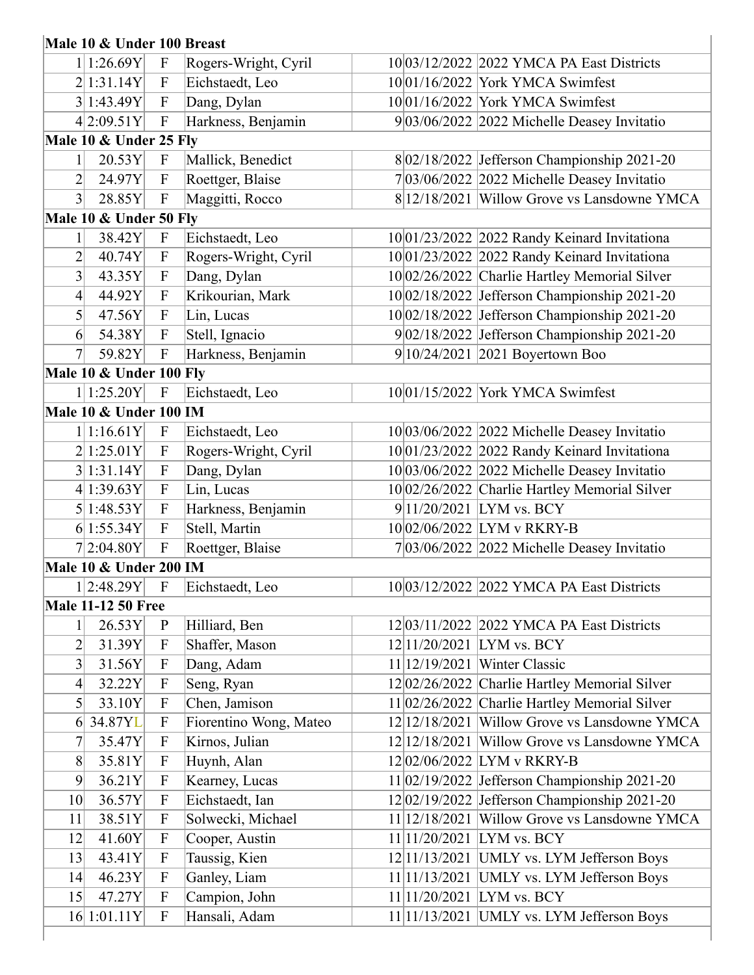## **Male 10 & Under 100 Breast**

|                 | 1 1:26.69Y                | $\boldsymbol{\mathrm{F}}$ | Rogers-Wright, Cyril   |               | 10 03/12/2022 2022 YMCA PA East Districts        |
|-----------------|---------------------------|---------------------------|------------------------|---------------|--------------------------------------------------|
|                 | 2 1:31.14Y                | $\boldsymbol{\mathrm{F}}$ | Eichstaedt, Leo        |               | 10 01/16/2022 York YMCA Swimfest                 |
|                 | 3 1:43.49Y                | $\boldsymbol{\mathrm{F}}$ | Dang, Dylan            |               | 10 01/16/2022 York YMCA Swimfest                 |
|                 | 4 2:09.51Y                | $\boldsymbol{\mathrm{F}}$ | Harkness, Benjamin     |               | 9 03/06/2022 2022 Michelle Deasey Invitatio      |
|                 | Male 10 & Under 25 Fly    |                           |                        |               |                                                  |
| 1               | 20.53Y                    | $\boldsymbol{\mathrm{F}}$ | Mallick, Benedict      |               | 8 02/18/2022 Jefferson Championship 2021-20      |
| $\overline{2}$  | 24.97Y                    | $\boldsymbol{\mathrm{F}}$ | Roettger, Blaise       |               | $7 03/06/2022 2022$ Michelle Deasey Invitatio    |
| 3               | 28.85Y                    | $\mathbf{F}$              | Maggitti, Rocco        |               | 8 12/18/2021 Willow Grove vs Lansdowne YMCA      |
|                 | Male 10 & Under 50 Fly    |                           |                        |               |                                                  |
| 1               | 38.42Y                    | $\mathbf F$               | Eichstaedt, Leo        |               | 10 01/23/2022 2022 Randy Keinard Invitationa     |
| $\overline{2}$  | 40.74Y                    | $\mathbf{F}$              | Rogers-Wright, Cyril   |               | 10 01/23/2022 2022 Randy Keinard Invitationa     |
| 3               | 43.35Y                    | $\boldsymbol{\mathrm{F}}$ | Dang, Dylan            |               | 10 02/26/2022 Charlie Hartley Memorial Silver    |
| 4               | 44.92Y                    | $\mathbf{F}$              | Krikourian, Mark       |               | 10 02/18/2022 Jefferson Championship 2021-20     |
| 5               | 47.56Y                    | $\boldsymbol{\mathrm{F}}$ | Lin, Lucas             |               | 10 02/18/2022 Jefferson Championship 2021-20     |
| 6               | 54.38Y                    | $\mathbf F$               | Stell, Ignacio         |               | 9 02/18/2022 Jefferson Championship 2021-20      |
| $\overline{7}$  | 59.82Y                    | $\mathbf{F}$              | Harkness, Benjamin     |               | $9 10/24/2021 2021$ Boyertown Boo                |
|                 | Male 10 & Under 100 Fly   |                           |                        |               |                                                  |
|                 | 1 1:25.20Y                | $\boldsymbol{\mathrm{F}}$ | Eichstaedt, Leo        |               | 10 01/15/2022 York YMCA Swimfest                 |
|                 | Male 10 & Under 100 IM    |                           |                        |               |                                                  |
|                 | 1 1:16.61Y                | $\boldsymbol{\mathrm{F}}$ | Eichstaedt, Leo        |               | $10 03/06/2022 2022$ Michelle Deasey Invitatio   |
|                 | 2 1:25.01Y                | $\mathbf{F}$              | Rogers-Wright, Cyril   |               | 1001/23/2022 2022 Randy Keinard Invitationa      |
|                 | 3 1:31.14Y                | $\boldsymbol{\mathrm{F}}$ | Dang, Dylan            |               | $10 03/06/2022 2022$ Michelle Deasey Invitatio   |
|                 | 4 1:39.63Y                | $\boldsymbol{\mathrm{F}}$ | Lin, Lucas             |               | 10 02/26/2022 Charlie Hartley Memorial Silver    |
|                 | 5 1:48.53Y                | $\mathbf{F}$              | Harkness, Benjamin     |               | $9 11/20/2021$ LYM vs. BCY                       |
|                 | 6 1:55.34Y                | $\mathbf{F}$              | Stell, Martin          |               | 10 02/06/2022 LYM v RKRY-B                       |
|                 | 72:04.80Y                 | $\boldsymbol{\mathrm{F}}$ | Roettger, Blaise       |               | $7 03/06/2022 2022$ Michelle Deasey Invitatio    |
|                 | Male 10 & Under 200 IM    |                           |                        |               |                                                  |
|                 | 1 2:48.29Y                | $\boldsymbol{\mathrm{F}}$ | Eichstaedt, Leo        |               | 10 03/12/2022 2022 YMCA PA East Districts        |
|                 | <b>Male 11-12 50 Free</b> |                           |                        |               |                                                  |
| $\mathbf{1}$    | 26.53Y                    | $\mathbf{P}$              | Hilliard, Ben          |               | 12 03/11/2022 2022 YMCA PA East Districts        |
| $\overline{2}$  | 31.39Y                    | $\boldsymbol{\mathrm{F}}$ | Shaffer, Mason         |               | 12 11/20/2021   LYM vs. BCY                      |
| 3               | 31.56Y                    | F                         | Dang, Adam             | 11 12/19/2021 | Winter Classic                                   |
| $\vert 4 \vert$ | 32.22Y                    | $\boldsymbol{\mathrm{F}}$ | Seng, Ryan             |               | $12 02/26/2022 $ Charlie Hartley Memorial Silver |
| 5               | 33.10Y                    | $\mathbf F$               | Chen, Jamison          |               | 11 02/26/2022 Charlie Hartley Memorial Silver    |
| 6               | 34.87YL                   | $\boldsymbol{\mathrm{F}}$ | Fiorentino Wong, Mateo |               | 12 12/18/2021   Willow Grove vs Lansdowne YMCA   |
| $\overline{7}$  | 35.47Y                    | $\boldsymbol{\mathrm{F}}$ | Kirnos, Julian         |               | 12 12/18/2021   Willow Grove vs Lansdowne YMCA   |
| 8               | 35.81Y                    | $\boldsymbol{\mathrm{F}}$ | Huynh, Alan            |               | 12 02/06/2022 LYM v RKRY-B                       |
| 9               | 36.21Y                    | ${\bf F}$                 | Kearney, Lucas         |               | $11 02/19/2022$ Jefferson Championship 2021-20   |
| 10 <sup>1</sup> | 36.57Y                    | $\boldsymbol{\mathrm{F}}$ | Eichstaedt, Ian        |               | $12 02/19/2022$ Jefferson Championship 2021-20   |
| 11              | 38.51Y                    | $\boldsymbol{\mathrm{F}}$ | Solwecki, Michael      |               | 11 12/18/2021 Willow Grove vs Lansdowne YMCA     |
| 12              | 41.60Y                    | $\boldsymbol{\mathrm{F}}$ | Cooper, Austin         |               | 11 11/20/2021 LYM vs. BCY                        |
| 13              | 43.41Y                    | $\mathbf F$               | Taussig, Kien          |               | $12 11/13/2021$ UMLY vs. LYM Jefferson Boys      |
| 4               | 46.23Y                    | $\boldsymbol{\mathrm{F}}$ | Ganley, Liam           |               | $11 11/13/2021$ UMLY vs. LYM Jefferson Boys      |
| 15              | 47.27Y                    | $\boldsymbol{\mathrm{F}}$ | Campion, John          |               | 11 11/20/2021 LYM vs. BCY                        |
|                 | 16 1:01.11Y               | $\mathbf F$               | Hansali, Adam          |               | $11 11/13/2021$ UMLY vs. LYM Jefferson Boys      |

 $\begin{array}{c} \hline \end{array}$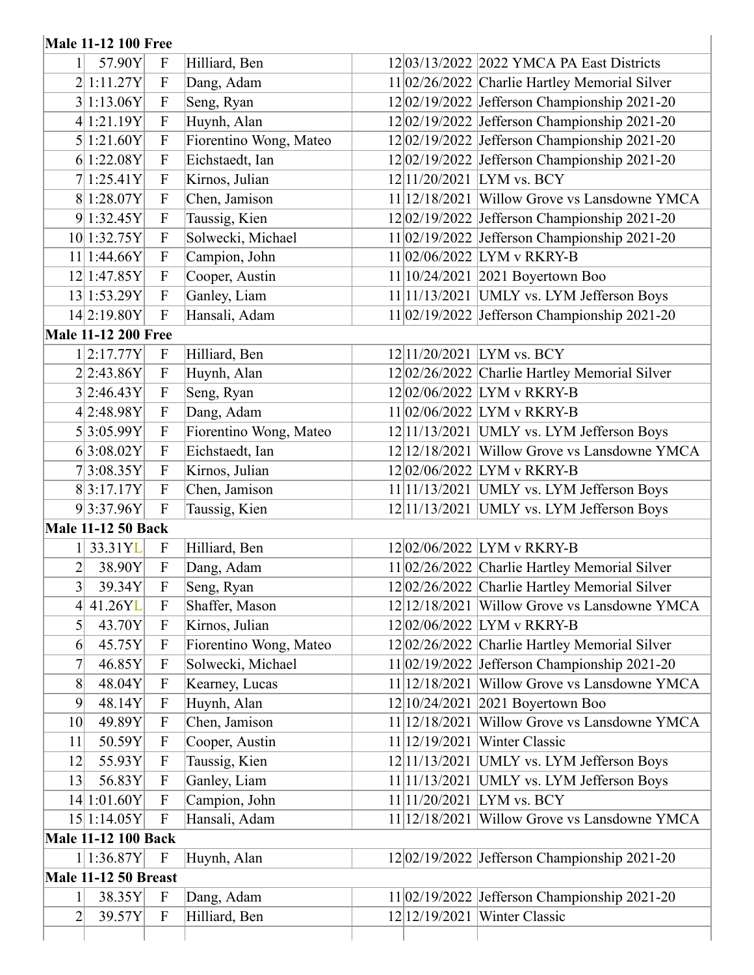## **Male 11-12 100 Free**

|                  | <b>Male 11-12 100 Free</b>  |                           |                        |                                                  |
|------------------|-----------------------------|---------------------------|------------------------|--------------------------------------------------|
|                  | 57.90Y                      | $\boldsymbol{F}$          | Hilliard, Ben          | 12 03/13/2022 2022 YMCA PA East Districts        |
|                  | 2 1:11.27Y                  | $\mathbf{F}$              | Dang, Adam             | 11 02/26/2022 Charlie Hartley Memorial Silver    |
|                  | 3 1:13.06Y                  | $\boldsymbol{\mathrm{F}}$ | Seng, Ryan             | $12 02/19/2022$ Jefferson Championship 2021-20   |
|                  | 4 1:21.19Y                  | ${\bf F}$                 | Huynh, Alan            | $12 02/19/2022$ Jefferson Championship 2021-20   |
|                  | 5 1:21.60Y                  | $\boldsymbol{F}$          | Fiorentino Wong, Mateo | $12 02/19/2022$ Jefferson Championship 2021-20   |
|                  | 6 1:22.08Y                  | $\mathbf{F}$              | Eichstaedt, Ian        | $12 02/19/2022$ Jefferson Championship 2021-20   |
|                  | 7 1:25.41Y                  | $\boldsymbol{\mathrm{F}}$ | Kirnos, Julian         | 12 11/20/2021  LYM vs. BCY                       |
|                  | 8 1:28.07Y                  | $\boldsymbol{F}$          | Chen, Jamison          | 11 12/18/2021 Willow Grove vs Lansdowne YMCA     |
|                  | 9 1:32.45Y                  | $\mathbf{F}$              | Taussig, Kien          | 1202/19/2022 Jefferson Championship 2021-20      |
|                  | 10 1:32.75Y                 | $\mathbf{F}$              | Solwecki, Michael      | $11 02/19/2022$ Jefferson Championship 2021-20   |
|                  | $11$   1:44.66Y             | ${\bf F}$                 | Campion, John          | 11 02/06/2022 LYM v RKRY-B                       |
|                  | 12 1:47.85Y                 | $\boldsymbol{\mathrm{F}}$ | Cooper, Austin         | 11 10/24/2021   2021 Boyertown Boo               |
|                  | 13 1:53.29Y                 | $\boldsymbol{F}$          | Ganley, Liam           | $11 11/13/2021$ UMLY vs. LYM Jefferson Boys      |
|                  | 14 2:19.80Y                 | $\mathbf{F}$              | Hansali, Adam          | 11 02/19/2022 Jefferson Championship 2021-20     |
|                  | <b>Male 11-12 200 Free</b>  |                           |                        |                                                  |
|                  | 1 2:17.77Y                  | $\boldsymbol{F}$          | Hilliard, Ben          | 12 11/20/2021 LYM vs. BCY                        |
|                  | 2 2:43.86Y                  | ${\bf F}$                 | Huynh, Alan            | 12 02/26/2022 Charlie Hartley Memorial Silver    |
|                  | 3 2:46.43Y                  | $\mathbf{F}$              | Seng, Ryan             | 1202/06/2022 LYM v RKRY-B                        |
|                  | 4 2:48.98Y                  | $\boldsymbol{\mathrm{F}}$ | Dang, Adam             | 11 02/06/2022 LYM v RKRY-B                       |
|                  | 5 3:05.99Y                  | $\boldsymbol{\mathrm{F}}$ | Fiorentino Wong, Mateo | $12 11/13/2021$ UMLY vs. LYM Jefferson Boys      |
|                  | 6 3:08.02Y                  | $\boldsymbol{\mathrm{F}}$ | Eichstaedt, Ian        | $12 12/18/2021$ Willow Grove vs Lansdowne YMCA   |
|                  | 7 3:08.35Y                  | $\mathbf{F}$              | Kirnos, Julian         | 12 02/06/2022 LYM v RKRY-B                       |
|                  | 8 3:17.17Y                  | $\boldsymbol{\mathrm{F}}$ | Chen, Jamison          | $11 11/13/2021$ UMLY vs. LYM Jefferson Boys      |
|                  | 9 3:37.96Y                  | $\mathbf{F}$              | Taussig, Kien          | $12 11/13/2021$ UMLY vs. LYM Jefferson Boys      |
|                  | <b>Male 11-12 50 Back</b>   |                           |                        |                                                  |
|                  | 1 33.31YL                   | $\mathbf{F}$              | Hilliard, Ben          | 12 02/06/2022 LYM v RKRY-B                       |
| 2                | 38.90Y                      | $\boldsymbol{\mathrm{F}}$ | Dang, Adam             | 11 02/26/2022 Charlie Hartley Memorial Silver    |
| $\overline{3}$   | 39.34Y                      | ${\bf F}$                 | Seng, Ryan             | 1202/26/2022 Charlie Hartley Memorial Silver     |
| $\left 4\right $ | 41.26YL                     | $\mathbf F$               | Shaffer, Mason         | 12 12/18/2021 Willow Grove vs Lansdowne YMCA     |
| 5                | 43.70Y                      | $\boldsymbol{F}$          | Kirnos, Julian         | 12 02/06/2022 LYM v RKRY-B                       |
| 6                | 45.75Y                      | $\boldsymbol{\mathrm{F}}$ | Fiorentino Wong, Mateo | 12 02/26/2022 Charlie Hartley Memorial Silver    |
| 7                | 46.85Y                      | $\boldsymbol{F}$          | Solwecki, Michael      | 11 02/19/2022 Jefferson Championship 2021-20     |
| 8                | 48.04Y                      | $\mathbf{F}$              | Kearney, Lucas         | $11 12/18/2021$ Willow Grove vs Lansdowne YMCA   |
| 9                | 48.14Y                      | $\mathbf{F}$              | Huynh, Alan            | 12 10/24/2021   2021 Boyertown Boo               |
| 10 <sup>1</sup>  | 49.89Y                      | $\boldsymbol{\mathrm{F}}$ | Chen, Jamison          | 11 12/18/2021 <br>Willow Grove vs Lansdowne YMCA |
| 11               | 50.59Y                      | $\boldsymbol{\mathrm{F}}$ | Cooper, Austin         | 11 12/19/2021   Winter Classic                   |
| 12               | 55.93Y                      | $\boldsymbol{\mathrm{F}}$ | Taussig, Kien          | $12 11/13/2021$ UMLY vs. LYM Jefferson Boys      |
| 13               | 56.83Y                      | $\boldsymbol{\mathrm{F}}$ | Ganley, Liam           | $11 11/13/2021$ UMLY vs. LYM Jefferson Boys      |
|                  | 14 1:01.60Y                 | $\boldsymbol{\mathrm{F}}$ | Campion, John          | 11 11/20/2021 LYM vs. BCY                        |
|                  | 15 1:14.05Y                 | $\mathbf{F}$              | Hansali, Adam          | 11 12/18/2021<br>Willow Grove vs Lansdowne YMCA  |
|                  | <b>Male 11-12 100 Back</b>  |                           |                        |                                                  |
|                  | 1 1:36.87Y                  | $\boldsymbol{\mathrm{F}}$ | Huynh, Alan            | $12 02/19/2022$ Jefferson Championship 2021-20   |
|                  | <b>Male 11-12 50 Breast</b> |                           |                        |                                                  |
| $\mathbf{1}$     | 38.35Y                      | $\boldsymbol{\mathrm{F}}$ | Dang, Adam             | $11 02/19/2022$ Jefferson Championship 2021-20   |
| $\overline{2}$   | 39.57Y                      | $\boldsymbol{\mathrm{F}}$ | Hilliard, Ben          | 12 12 / 19 / 20 21<br><b>Winter Classic</b>      |
|                  |                             |                           |                        |                                                  |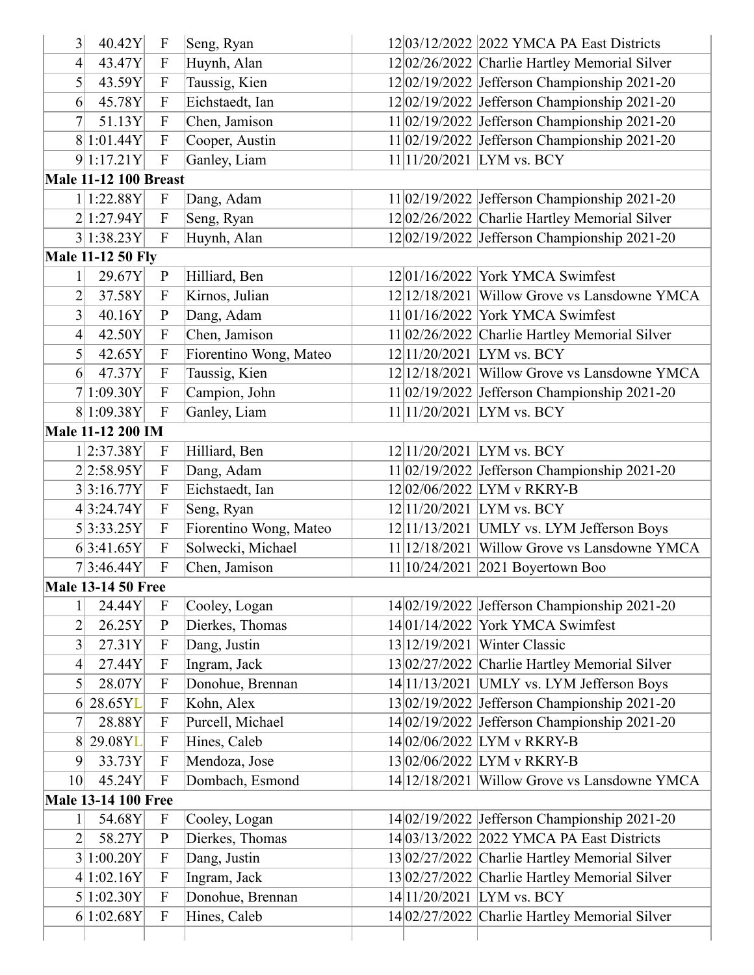| 3                                 | 40.42Y                       | $\boldsymbol{\mathrm{F}}$ | Seng, Ryan             | 12 03/12/2022 2022 YMCA PA East Districts      |
|-----------------------------------|------------------------------|---------------------------|------------------------|------------------------------------------------|
| 4                                 | 43.47Y                       | $\boldsymbol{\mathrm{F}}$ | Huynh, Alan            | 12 02/26/2022 Charlie Hartley Memorial Silver  |
| 5                                 | 43.59Y                       | $\boldsymbol{\mathrm{F}}$ | Taussig, Kien          | $12 02/19/2022$ Jefferson Championship 2021-20 |
| 6                                 | 45.78Y                       | $\boldsymbol{\mathrm{F}}$ | Eichstaedt, Ian        | $12 02/19/2022$ Jefferson Championship 2021-20 |
| $\boldsymbol{7}$                  | 51.13Y                       | $\boldsymbol{\mathrm{F}}$ | Chen, Jamison          | $11 02/19/2022$ Jefferson Championship 2021-20 |
|                                   | 8 1:01.44Y                   | $\boldsymbol{\mathrm{F}}$ | Cooper, Austin         | 11 02/19/2022 Jefferson Championship 2021-20   |
|                                   | 9 1:17.21Y                   | $\boldsymbol{\mathrm{F}}$ | Ganley, Liam           | 11 11/20/2021 LYM vs. BCY                      |
|                                   | <b>Male 11-12 100 Breast</b> |                           |                        |                                                |
|                                   | 1 1:22.88Y                   | $\boldsymbol{\mathrm{F}}$ | Dang, Adam             | 11 02/19/2022 Jefferson Championship 2021-20   |
|                                   | 2 1:27.94Y                   | $\boldsymbol{\mathrm{F}}$ | Seng, Ryan             | 12 02/26/2022 Charlie Hartley Memorial Silver  |
|                                   | 3 1:38.23Y                   | $\mathbf F$               | Huynh, Alan            | $12 02/19/2022$ Jefferson Championship 2021-20 |
|                                   | <b>Male 11-12 50 Fly</b>     |                           |                        |                                                |
| $\mathbf{1}$                      | 29.67Y                       | ${\bf P}$                 | Hilliard, Ben          | $12 01/16/2022$ York YMCA Swimfest             |
| 2                                 | 37.58Y                       | $\boldsymbol{\mathrm{F}}$ | Kirnos, Julian         | 12 12/18/2021   Willow Grove vs Lansdowne YMCA |
| 3                                 | 40.16Y                       | ${\bf P}$                 | Dang, Adam             | $11 01/16/2022$ York YMCA Swimfest             |
| 4                                 | 42.50Y                       | $\boldsymbol{\mathrm{F}}$ | Chen, Jamison          | 11 02/26/2022 Charlie Hartley Memorial Silver  |
| 5                                 | 42.65Y                       | $\boldsymbol{\mathrm{F}}$ | Fiorentino Wong, Mateo | 12 11/20/2021  LYM vs. BCY                     |
| $6 \vert$                         | 47.37Y                       | $\boldsymbol{\mathrm{F}}$ | Taussig, Kien          | $12 12/18/2021$ Willow Grove vs Lansdowne YMCA |
|                                   | 7 1:09.30Y                   | $\mathbf F$               | Campion, John          | $11 02/19/2022$ Jefferson Championship 2021-20 |
|                                   | 8 1:09.38Y                   | $\mathbf F$               | Ganley, Liam           | 11 11/20/2021 LYM vs. BCY                      |
|                                   | <b>Male 11-12 200 IM</b>     |                           |                        |                                                |
|                                   | 1 2:37.38Y                   | $\boldsymbol{\mathrm{F}}$ | Hilliard, Ben          | 12 11/20/2021 LYM vs. BCY                      |
|                                   | 2 2:58.95Y                   | $\boldsymbol{\mathrm{F}}$ | Dang, Adam             | $11 02/19/2022$ Jefferson Championship 2021-20 |
|                                   | 3 3:16.77Y                   | $\boldsymbol{\mathrm{F}}$ | Eichstaedt, Ian        | 12 02/06/2022 LYM v RKRY-B                     |
|                                   | 4 3:24.74Y                   | $\boldsymbol{\mathrm{F}}$ | Seng, Ryan             | 12 11/20/2021  LYM vs. BCY                     |
|                                   | 5 3:33.25Y                   | $\boldsymbol{\mathrm{F}}$ | Fiorentino Wong, Mateo | $12 11/13/2021$ UMLY vs. LYM Jefferson Boys    |
|                                   | 6 3:41.65Y                   | $\mathbf{F}$              | Solwecki, Michael      | $11 12/18/2021$ Willow Grove vs Lansdowne YMCA |
|                                   | 7 3:46.44Y                   | $\overline{F}$            | Chen, Jamison          | $11 10/24/2021 2021$ Boyertown Boo             |
|                                   | <b>Male 13-14 50 Free</b>    |                           |                        |                                                |
| 1                                 | 24.44Y                       | $\boldsymbol{F}$          | Cooley, Logan          | $14 02/19/2022$ Jefferson Championship 2021-20 |
| $\overline{2}$                    | 26.25Y                       | $\mathbf{P}$              | Dierkes, Thomas        | 14 01/14/2022 York YMCA Swimfest               |
| 3                                 | 27.31Y                       | $\boldsymbol{\mathrm{F}}$ | Dang, Justin           | 13 12/19/2021   Winter Classic                 |
|                                   |                              | $\boldsymbol{\mathrm{F}}$ |                        |                                                |
| $\overline{4}$<br>$\vert 5 \vert$ | 27.44Y                       | $\boldsymbol{\mathrm{F}}$ | Ingram, Jack           | 13 02/27/2022 Charlie Hartley Memorial Silver  |
|                                   | 28.07Y                       |                           | Donohue, Brennan       | $14 11/13/2021$ UMLY vs. LYM Jefferson Boys    |
| 6                                 | 28.65YL                      | $\boldsymbol{\mathrm{F}}$ | Kohn, Alex             | $13 02/19/2022$ Jefferson Championship 2021-20 |
| 7                                 | 28.88Y                       | $\boldsymbol{\mathrm{F}}$ | Purcell, Michael       | 14 02/19/2022 Jefferson Championship 2021-20   |
| 8                                 | 29.08YL                      | $\boldsymbol{\mathrm{F}}$ | Hines, Caleb           | 14 02/06/2022 LYM v RKRY-B                     |
| 9                                 | 33.73Y                       | $\boldsymbol{\mathrm{F}}$ | Mendoza, Jose          | 13 02/06/2022 LYM v RKRY-B                     |
| 10 <sup>l</sup>                   | 45.24Y                       | $\boldsymbol{\mathrm{F}}$ | Dombach, Esmond        | 14 12/18/2021 Willow Grove vs Lansdowne YMCA   |
|                                   | <b>Male 13-14 100 Free</b>   |                           |                        |                                                |
| 1                                 | 54.68Y                       | $\mathbf F$               | Cooley, Logan          | 14 02/19/2022 Jefferson Championship 2021-20   |
| $\overline{2}$                    | 58.27Y                       | ${\bf P}$                 | Dierkes, Thomas        | 14 03/13/2022 2022 YMCA PA East Districts      |
|                                   | 3 1:00.20Y                   | $\mathbf{F}$              | Dang, Justin           | 13 02/27/2022 Charlie Hartley Memorial Silver  |
|                                   | 4 1:02.16Y                   | $\boldsymbol{\mathrm{F}}$ | Ingram, Jack           | 13 02/27/2022 Charlie Hartley Memorial Silver  |
|                                   | 5 1:02.30Y                   | $\boldsymbol{\mathrm{F}}$ | Donohue, Brennan       | 14 11/20/2021 LYM vs. BCY                      |
|                                   | 6 1:02.68Y                   | $\mathbf F$               | Hines, Caleb           | 14 02/27/2022 Charlie Hartley Memorial Silver  |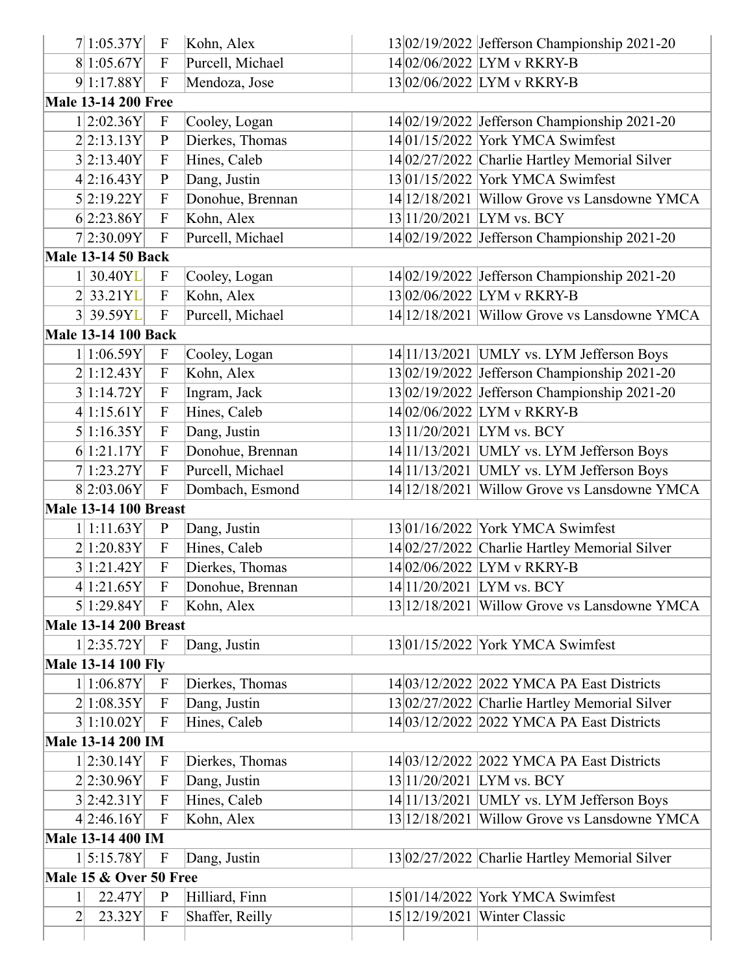| 7 1:05.37Y                   | $\mathbf F$               | Kohn, Alex       |                           | 13 02/19/2022 Jefferson Championship 2021-20   |
|------------------------------|---------------------------|------------------|---------------------------|------------------------------------------------|
| 8 1:05.67Y                   | $\mathbf{F}$              | Purcell, Michael |                           | 14 02/06/2022 LYM v RKRY-B                     |
| 9 1:17.88Y                   | $\overline{F}$            | Mendoza, Jose    |                           | 1302/06/2022 LYM v RKRY-B                      |
| <b>Male 13-14 200 Free</b>   |                           |                  |                           |                                                |
| 1 2:02.36Y                   | $\mathbf{F}$              | Cooley, Logan    |                           | 14 02/19/2022 Jefferson Championship 2021-20   |
| 2 2:13.13Y                   | $\mathbf{P}$              | Dierkes, Thomas  |                           | 14 01/15/2022 York YMCA Swimfest               |
| 3 2:13.40Y                   | $\mathbf{F}$              | Hines, Caleb     |                           | 14 02/27/2022 Charlie Hartley Memorial Silver  |
| 4 2:16.43Y                   | $\mathbf{P}$              | Dang, Justin     |                           | 13 01/15/2022 York YMCA Swimfest               |
| 5 2:19.22Y                   | $\mathbf{F}$              | Donohue, Brennan |                           | 14 12/18/2021 Willow Grove vs Lansdowne YMCA   |
| 6 2:23.86Y                   | $\overline{F}$            | Kohn, Alex       | 13 11/20/2021 LYM vs. BCY |                                                |
| 7 2:30.09Y                   | $\overline{F}$            | Purcell, Michael |                           | 14 02/19/2022 Jefferson Championship 2021-20   |
| <b>Male 13-14 50 Back</b>    |                           |                  |                           |                                                |
| 30.40YL                      | $\mathbf{F}$              | Cooley, Logan    |                           | 14 02/19/2022 Jefferson Championship 2021-20   |
| 2 33.21YL                    | $\boldsymbol{\mathrm{F}}$ | Kohn, Alex       |                           | 1302/06/2022 LYM v RKRY-B                      |
| 3 39.59YL                    | $\overline{F}$            | Purcell, Michael |                           | 14 12/18/2021 Willow Grove vs Lansdowne YMCA   |
| <b>Male 13-14 100 Back</b>   |                           |                  |                           |                                                |
| 1 1:06.59Y                   | $\mathbf{F}$              | Cooley, Logan    |                           | $14 11/13/2021$ UMLY vs. LYM Jefferson Boys    |
| 2 1:12.43Y                   | $\mathbf{F}$              | Kohn, Alex       |                           | $13 02/19/2022$ Jefferson Championship 2021-20 |
| 3 1:14.72Y                   | $\overline{F}$            | Ingram, Jack     |                           | $13 02/19/2022$ Jefferson Championship 2021-20 |
| 4 1:15.61Y                   | $\overline{F}$            | Hines, Caleb     |                           | 14 02/06/2022 LYM v RKRY-B                     |
| 5 1:16.35Y                   | $\mathbf{F}$              | Dang, Justin     | 13 11/20/2021 LYM vs. BCY |                                                |
| 6 1:21.17Y                   | F                         | Donohue, Brennan |                           | 14 11/13/2021   UMLY vs. LYM Jefferson Boys    |
| 7 1:23.27Y                   | $\overline{F}$            | Purcell, Michael |                           | $14 11/13/2021$ UMLY vs. LYM Jefferson Boys    |
| 8 2:03.06Y                   | $\overline{F}$            | Dombach, Esmond  |                           | 14 12/18/2021 Willow Grove vs Lansdowne YMCA   |
| <b>Male 13-14 100 Breast</b> |                           |                  |                           |                                                |
| 1 1:11.63Y                   | $\mathbf{P}$              | Dang, Justin     |                           | 13 01/16/2022 York YMCA Swimfest               |
| 2 1:20.83Y                   | $\overline{F}$            | Hines, Caleb     |                           | 14 02/27/2022 Charlie Hartley Memorial Silver  |
| 3 1:21.42Y                   | $\overline{F}$            | Dierkes, Thomas  |                           | 14 02/06/2022 LYM v RKRY-B                     |
| 4 1:21.65Y                   | $\mathbf{F}$              | Donohue, Brennan |                           | 14 11/20/2021 LYM vs. BCY                      |
| 5 1:29.84Y                   | $\mathbf{F}$              | Kohn, Alex       |                           | 13 12/18/2021 Willow Grove vs Lansdowne YMCA   |
| <b>Male 13-14 200 Breast</b> |                           |                  |                           |                                                |
| $1 2:35.72Y $ F              |                           | Dang, Justin     |                           | 13 01/15/2022 York YMCA Swimfest               |
| <b>Male 13-14 100 Fly</b>    |                           |                  |                           |                                                |
| 1 1:06.87Y                   | $\mathbf F$               | Dierkes, Thomas  |                           | 14 03/12/2022 2022 YMCA PA East Districts      |
| 2 1:08.35Y                   | $\mathbf{F}$              | Dang, Justin     |                           | 13 02/27/2022 Charlie Hartley Memorial Silver  |
| 3 1:10.02Y                   | F                         | Hines, Caleb     |                           | 14 03/12/2022 2022 YMCA PA East Districts      |
| <b>Male 13-14 200 IM</b>     |                           |                  |                           |                                                |
| 1 2:30.14Y                   | $\mathbf F$               | Dierkes, Thomas  |                           | 14 03/12/2022 2022 YMCA PA East Districts      |
| 2 2:30.96Y                   | $\overline{F}$            | Dang, Justin     | 13 11/20/2021 LYM vs. BCY |                                                |
| 3 2:42.31Y                   | $\mathbf F$               | Hines, Caleb     |                           | 14 11/13/2021   UMLY vs. LYM Jefferson Boys    |
| 4 2:46.16Y                   | $\mathbf{F}$              | Kohn, Alex       |                           | 13 12/18/2021   Willow Grove vs Lansdowne YMCA |
| Male 13-14 400 IM            |                           |                  |                           |                                                |
| 1 5:15.78Y                   | $\mathbf F$               | Dang, Justin     |                           | 13 02/27/2022 Charlie Hartley Memorial Silver  |
| Male 15 & Over 50 Free       |                           |                  |                           |                                                |
|                              |                           |                  |                           | 15 01/14/2022 York YMCA Swimfest               |
| 22.47Y                       | $\mathbf{P}$              | Hilliard, Finn   |                           |                                                |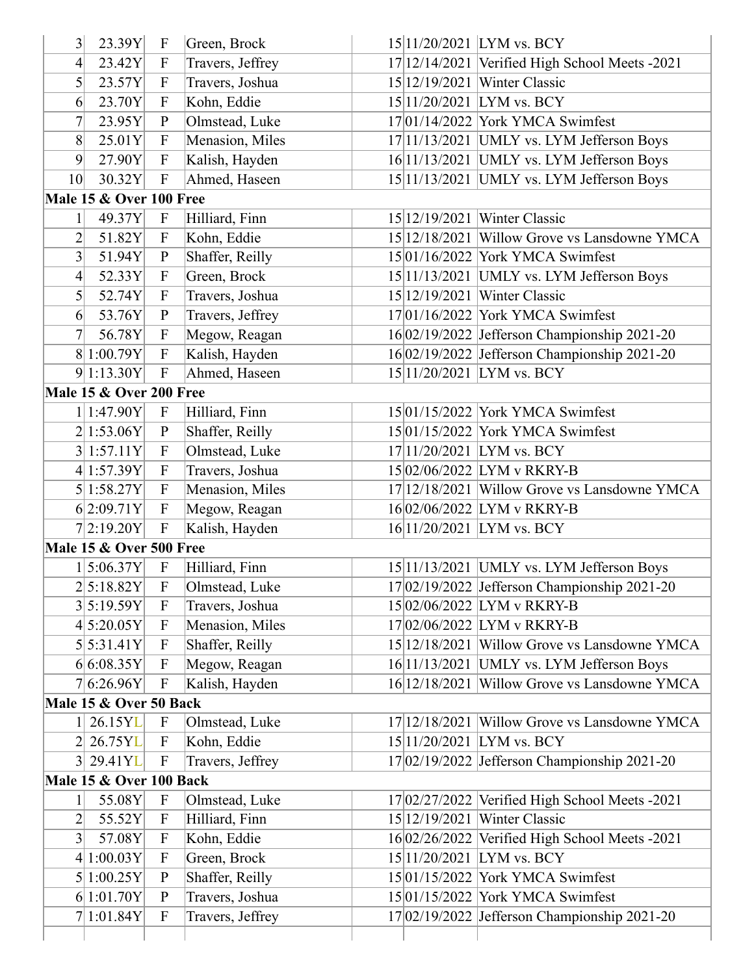| 3                        | 23.39Y                  | $\mathbf{F}$              | Green, Brock     | 15 11/20/2021 LYM vs. BCY                      |
|--------------------------|-------------------------|---------------------------|------------------|------------------------------------------------|
| 4                        | 23.42Y                  | $\mathbf{F}$              | Travers, Jeffrey | 17 12/14/2021 Verified High School Meets -2021 |
| $5\vert$                 | 23.57Y                  | $\boldsymbol{\mathrm{F}}$ | Travers, Joshua  | 15 12/19/2021   Winter Classic                 |
| 6                        | 23.70Y                  | ${\bf F}$                 | Kohn, Eddie      | 15 11/20/2021 LYM vs. BCY                      |
| 7                        | 23.95Y                  | $\, {\bf p}$              | Olmstead, Luke   | 17 01/14/2022 York YMCA Swimfest               |
| 8                        | 25.01Y                  | F                         | Menasion, Miles  | 17 11/13/2021   UMLY vs. LYM Jefferson Boys    |
| 9                        | 27.90Y                  | $\mathbf{F}$              | Kalish, Hayden   | 16 11/13/2021   UMLY vs. LYM Jefferson Boys    |
| 10 <sup>l</sup>          | 30.32Y                  | $\overline{F}$            | Ahmed, Haseen    | 15 11/13/2021 UMLY vs. LYM Jefferson Boys      |
|                          | Male 15 & Over 100 Free |                           |                  |                                                |
| $1\vert$                 | 49.37Y                  | $\mathbf{F}$              | Hilliard, Finn   | 15 12/19/2021   Winter Classic                 |
| $\overline{2}$           | 51.82Y                  | $\mathbf{F}$              | Kohn, Eddie      | 15 12/18/2021 Willow Grove vs Lansdowne YMCA   |
| $3\vert$                 | 51.94Y                  | ${\bf P}$                 | Shaffer, Reilly  | 15 01/16/2022 York YMCA Swimfest               |
| 4                        | 52.33Y                  | $\boldsymbol{\mathrm{F}}$ | Green, Brock     | 15 11/13/2021   UMLY vs. LYM Jefferson Boys    |
| $\mathsf{S}\vert$        | 52.74Y                  | $\boldsymbol{\mathrm{F}}$ | Travers, Joshua  | 15 12/19/2021   Winter Classic                 |
| 6 <sup>1</sup>           | 53.76Y                  | $\mathbf{P}$              | Travers, Jeffrey | $17 01/16/2022$ York YMCA Swimfest             |
| $\overline{\mathcal{U}}$ | 56.78Y                  | $\boldsymbol{\mathrm{F}}$ | Megow, Reagan    | 16 02/19/2022 Jefferson Championship 2021-20   |
|                          | 8 1:00.79Y              | $\overline{F}$            | Kalish, Hayden   | 16 02/19/2022 Jefferson Championship 2021-20   |
|                          | 9 1:13.30Y              | $\mathbf F$               | Ahmed, Haseen    | 15 11/20/2021 LYM vs. BCY                      |
|                          | Male 15 & Over 200 Free |                           |                  |                                                |
|                          | 1 1:47.90Y              | $\mathbf F$               | Hilliard, Finn   | 15 01/15/2022 York YMCA Swimfest               |
|                          | 2 1:53.06Y              | ${\bf P}$                 | Shaffer, Reilly  | 15 01/15/2022 York YMCA Swimfest               |
|                          | 3 1:57.11Y              | $\boldsymbol{\mathrm{F}}$ | Olmstead, Luke   | 17 11/20/2021 LYM vs. BCY                      |
|                          | 4 1:57.39Y              | $\mathbf{F}$              | Travers, Joshua  | 1502/06/2022 LYM v RKRY-B                      |
|                          | 5 1:58.27Y              | $\boldsymbol{\mathrm{F}}$ | Menasion, Miles  | 17 12/18/2021 Willow Grove vs Lansdowne YMCA   |
|                          | 6 2:09.71Y              | $\mathbf{F}$              | Megow, Reagan    | 1602/06/2022 LYM v RKRY-B                      |
|                          | 7 2:19.20Y              | $\mathbf{F}$              | Kalish, Hayden   | 16 11/20/2021 LYM vs. BCY                      |
|                          | Male 15 & Over 500 Free |                           |                  |                                                |
|                          | 1 5:06.37Y              | $\rm F$                   | Hilliard, Finn   | $15 11/13/2021$ UMLY vs. LYM Jefferson Boys    |
|                          | 2 5:18.82Y              | $\boldsymbol{\mathrm{F}}$ | Olmstead, Luke   | 17 02/19/2022 Jefferson Championship 2021-20   |
|                          | 3 5:19.59Y              | $\mathbf F$               | Travers, Joshua  | 15 02/06/2022 LYM v RKRY-B                     |
|                          | 4 5:20.05Y              | $\boldsymbol{\mathrm{F}}$ | Menasion, Miles  | 17 02/06/2022 LYM v RKRY-B                     |
|                          | 5 5:31.41Y              | $\boldsymbol{\mathrm{F}}$ | Shaffer, Reilly  | 15 12/18/2021 Willow Grove vs Lansdowne YMCA   |
|                          | 6 6:08.35Y              | $\mathbf{F}$              | Megow, Reagan    | $16 11/13/2021$ UMLY vs. LYM Jefferson Boys    |
|                          | 7 6:26.96Y              | $\mathbf{F}$              | Kalish, Hayden   | 16 12/18/2021 Willow Grove vs Lansdowne YMCA   |
|                          | Male 15 & Over 50 Back  |                           |                  |                                                |
|                          | 1 26.15YL               | $\boldsymbol{\mathrm{F}}$ | Olmstead, Luke   | 17 12/18/2021 Willow Grove vs Lansdowne YMCA   |
|                          | 2 26.75YL               | $\mathbf{F}$              | Kohn, Eddie      | 15 11/20/2021 LYM vs. BCY                      |
|                          | 3 29.41YL               | $\mathbf F$               | Travers, Jeffrey | 17 02/19/2022 Jefferson Championship 2021-20   |
|                          | Male 15 & Over 100 Back |                           |                  |                                                |
|                          | 55.08Y                  | $\mathbf{F}$              | Olmstead, Luke   | 17 02/27/2022 Verified High School Meets -2021 |
| $\overline{2}$           | 55.52Y                  | $\boldsymbol{\mathrm{F}}$ | Hilliard, Finn   | 15 12/19/2021   Winter Classic                 |
| $3\vert$                 | 57.08Y                  | F                         | Kohn, Eddie      | 16 02/26/2022 Verified High School Meets -2021 |
|                          | 4 1:00.03Y              | F                         | Green, Brock     | 15 11/20/2021 LYM vs. BCY                      |
|                          | 5 1:00.25Y              | ${\bf P}$                 | Shaffer, Reilly  | 15 01/15/2022 York YMCA Swimfest               |
|                          | 6 1:01.70Y              | $\mathbf{P}$              | Travers, Joshua  | 15 01/15/2022 York YMCA Swimfest               |
|                          |                         |                           |                  |                                                |
|                          | 7 1:01.84Y              | $\mathbf{F}$              | Travers, Jeffrey | 17 02/19/2022 Jefferson Championship 2021-20   |